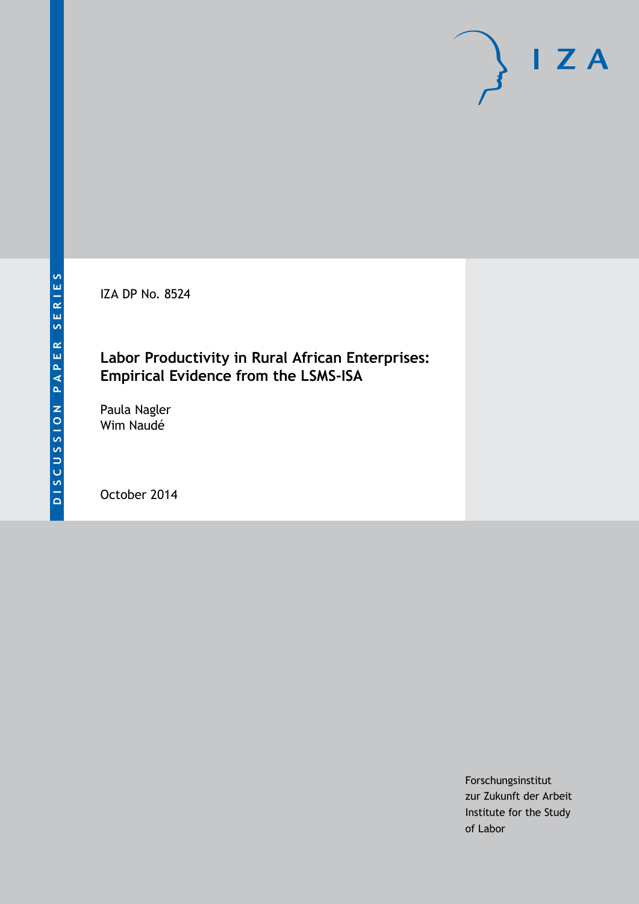IZA DP No. 8524

### **Labor Productivity in Rural African Enterprises: Empirical Evidence from the LSMS-ISA**

Paula Nagler Wim Naudé

October 2014

Forschungsinstitut zur Zukunft der Arbeit Institute for the Study of Labor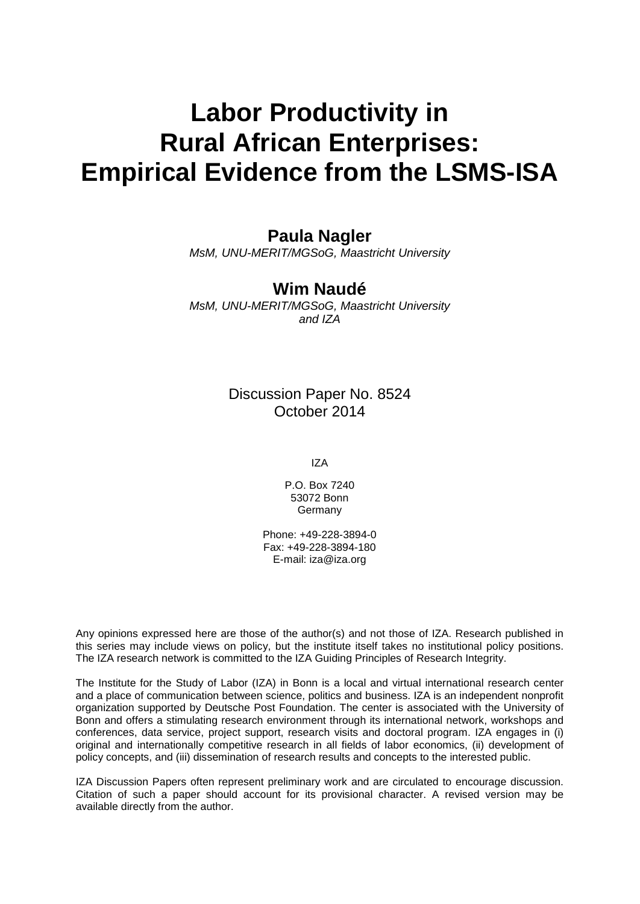# **Labor Productivity in Rural African Enterprises: Empirical Evidence from the LSMS-ISA**

### **Paula Nagler**

*MsM, UNU-MERIT/MGSoG, Maastricht University*

### **Wim Naudé**

*MsM, UNU-MERIT/MGSoG, Maastricht University and IZA*

### Discussion Paper No. 8524 October 2014

IZA

P.O. Box 7240 53072 Bonn Germany

Phone: +49-228-3894-0 Fax: +49-228-3894-180 E-mail: [iza@iza.org](mailto:iza@iza.org)

Any opinions expressed here are those of the author(s) and not those of IZA. Research published in this series may include views on policy, but the institute itself takes no institutional policy positions. The IZA research network is committed to the IZA Guiding Principles of Research Integrity.

The Institute for the Study of Labor (IZA) in Bonn is a local and virtual international research center and a place of communication between science, politics and business. IZA is an independent nonprofit organization supported by Deutsche Post Foundation. The center is associated with the University of Bonn and offers a stimulating research environment through its international network, workshops and conferences, data service, project support, research visits and doctoral program. IZA engages in (i) original and internationally competitive research in all fields of labor economics, (ii) development of policy concepts, and (iii) dissemination of research results and concepts to the interested public.

IZA Discussion Papers often represent preliminary work and are circulated to encourage discussion. Citation of such a paper should account for its provisional character. A revised version may be available directly from the author.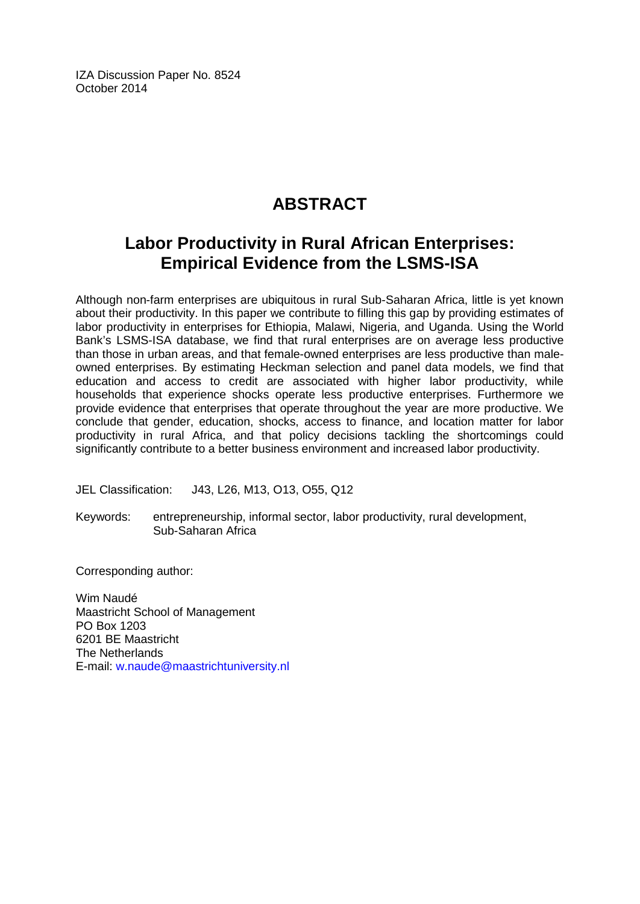IZA Discussion Paper No. 8524 October 2014

## **ABSTRACT**

### **Labor Productivity in Rural African Enterprises: Empirical Evidence from the LSMS-ISA**

Although non-farm enterprises are ubiquitous in rural Sub-Saharan Africa, little is yet known about their productivity. In this paper we contribute to filling this gap by providing estimates of labor productivity in enterprises for Ethiopia, Malawi, Nigeria, and Uganda. Using the World Bank's LSMS-ISA database, we find that rural enterprises are on average less productive than those in urban areas, and that female-owned enterprises are less productive than maleowned enterprises. By estimating Heckman selection and panel data models, we find that education and access to credit are associated with higher labor productivity, while households that experience shocks operate less productive enterprises. Furthermore we provide evidence that enterprises that operate throughout the year are more productive. We conclude that gender, education, shocks, access to finance, and location matter for labor productivity in rural Africa, and that policy decisions tackling the shortcomings could significantly contribute to a better business environment and increased labor productivity.

JEL Classification: J43, L26, M13, O13, O55, Q12

Keywords: entrepreneurship, informal sector, labor productivity, rural development, Sub-Saharan Africa

Corresponding author:

Wim Naudé Maastricht School of Management PO Box 1203 6201 BE Maastricht The Netherlands E-mail: [w.naude@maastrichtuniversity.nl](mailto:w.naude@maastrichtuniversity.nl)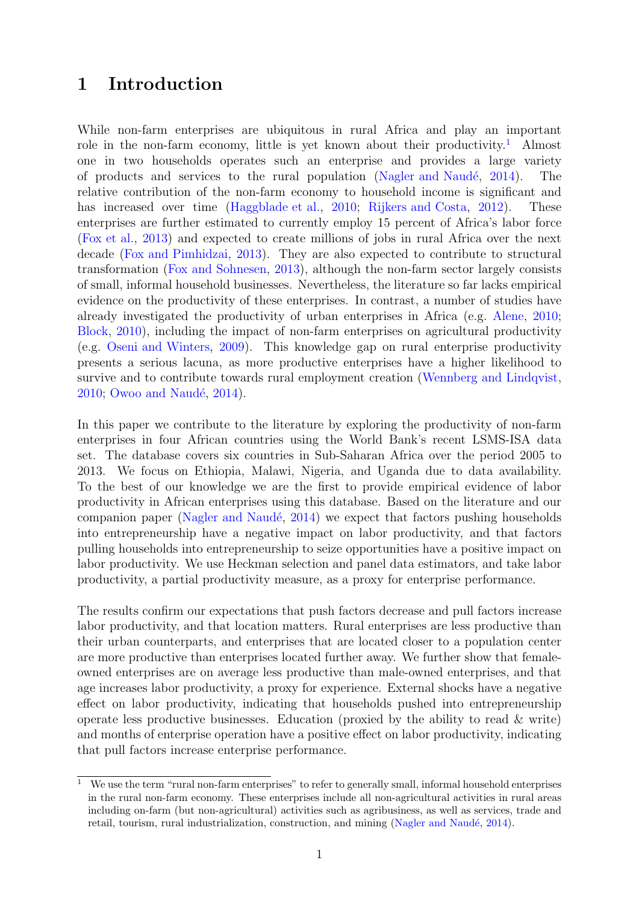### 1 Introduction

While non-farm enterprises are ubiquitous in rural Africa and play an important role in the non-farm economy, little is yet known about their productivity.<sup>[1](#page-3-0)</sup> Almost one in two households operates such an enterprise and provides a large variety of products and services to the rural population (Nagler and Naudé,  $2014$ ). The relative contribution of the non-farm economy to household income is significant and has increased over time [\(Haggblade et al.,](#page-21-1) [2010;](#page-21-1) [Rijkers and Costa,](#page-22-0) [2012\)](#page-22-0). These enterprises are further estimated to currently employ 15 percent of Africa's labor force [\(Fox et al.,](#page-21-2) [2013\)](#page-21-2) and expected to create millions of jobs in rural Africa over the next decade [\(Fox and Pimhidzai,](#page-21-3) [2013\)](#page-21-3). They are also expected to contribute to structural transformation [\(Fox and Sohnesen,](#page-21-4) [2013\)](#page-21-4), although the non-farm sector largely consists of small, informal household businesses. Nevertheless, the literature so far lacks empirical evidence on the productivity of these enterprises. In contrast, a number of studies have already investigated the productivity of urban enterprises in Africa (e.g. [Alene,](#page-20-0) [2010;](#page-20-0) [Block,](#page-20-1) [2010\)](#page-20-1), including the impact of non-farm enterprises on agricultural productivity (e.g. [Oseni and Winters,](#page-21-5) [2009\)](#page-21-5). This knowledge gap on rural enterprise productivity presents a serious lacuna, as more productive enterprises have a higher likelihood to survive and to contribute towards rural employment creation [\(Wennberg and Lindqvist,](#page-22-1) [2010;](#page-22-1) Owoo and Naudé, [2014\)](#page-21-6).

In this paper we contribute to the literature by exploring the productivity of non-farm enterprises in four African countries using the World Bank's recent LSMS-ISA data set. The database covers six countries in Sub-Saharan Africa over the period 2005 to 2013. We focus on Ethiopia, Malawi, Nigeria, and Uganda due to data availability. To the best of our knowledge we are the first to provide empirical evidence of labor productivity in African enterprises using this database. Based on the literature and our companion paper (Nagler and Naudé,  $2014$ ) we expect that factors pushing households into entrepreneurship have a negative impact on labor productivity, and that factors pulling households into entrepreneurship to seize opportunities have a positive impact on labor productivity. We use Heckman selection and panel data estimators, and take labor productivity, a partial productivity measure, as a proxy for enterprise performance.

The results confirm our expectations that push factors decrease and pull factors increase labor productivity, and that location matters. Rural enterprises are less productive than their urban counterparts, and enterprises that are located closer to a population center are more productive than enterprises located further away. We further show that femaleowned enterprises are on average less productive than male-owned enterprises, and that age increases labor productivity, a proxy for experience. External shocks have a negative effect on labor productivity, indicating that households pushed into entrepreneurship operate less productive businesses. Education (proxied by the ability to read & write) and months of enterprise operation have a positive effect on labor productivity, indicating that pull factors increase enterprise performance.

<span id="page-3-0"></span><sup>&</sup>lt;sup>1</sup> We use the term "rural non-farm enterprises" to refer to generally small, informal household enterprises in the rural non-farm economy. These enterprises include all non-agricultural activities in rural areas including on-farm (but non-agricultural) activities such as agribusiness, as well as services, trade and retail, tourism, rural industrialization, construction, and mining (Nagler and Naudé, [2014\)](#page-21-0).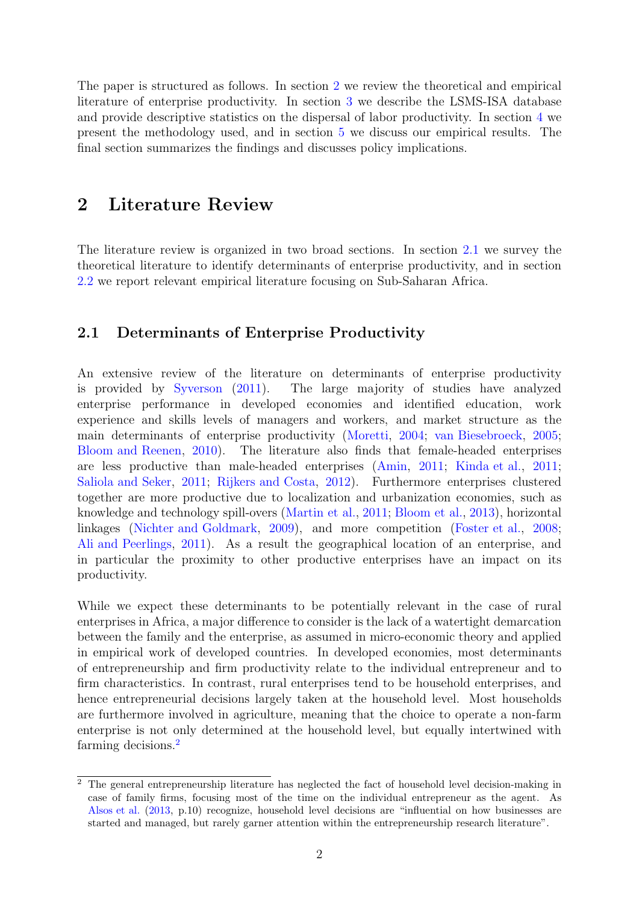The paper is structured as follows. In section [2](#page-4-0) we review the theoretical and empirical literature of enterprise productivity. In section [3](#page-6-0) we describe the LSMS-ISA database and provide descriptive statistics on the dispersal of labor productivity. In section [4](#page-10-0) we present the methodology used, and in section [5](#page-12-0) we discuss our empirical results. The final section summarizes the findings and discusses policy implications.

### <span id="page-4-0"></span>2 Literature Review

The literature review is organized in two broad sections. In section [2.1](#page-4-1) we survey the theoretical literature to identify determinants of enterprise productivity, and in section [2.2](#page-5-0) we report relevant empirical literature focusing on Sub-Saharan Africa.

#### <span id="page-4-1"></span>2.1 Determinants of Enterprise Productivity

An extensive review of the literature on determinants of enterprise productivity is provided by [Syverson](#page-22-2) [\(2011\)](#page-22-2). The large majority of studies have analyzed enterprise performance in developed economies and identified education, work experience and skills levels of managers and workers, and market structure as the main determinants of enterprise productivity [\(Moretti,](#page-21-7) [2004;](#page-21-7) [van Biesebroeck,](#page-22-3) [2005;](#page-22-3) [Bloom and Reenen,](#page-20-2) [2010\)](#page-20-2). The literature also finds that female-headed enterprises are less productive than male-headed enterprises [\(Amin,](#page-20-3) [2011;](#page-20-3) [Kinda et al.,](#page-21-8) [2011;](#page-21-8) [Saliola and Seker,](#page-22-4) [2011;](#page-22-4) [Rijkers and Costa,](#page-22-0) [2012\)](#page-22-0). Furthermore enterprises clustered together are more productive due to localization and urbanization economies, such as knowledge and technology spill-overs [\(Martin et al.,](#page-21-9) [2011;](#page-21-9) [Bloom et al.,](#page-20-4) [2013\)](#page-20-4), horizontal linkages [\(Nichter and Goldmark,](#page-21-10) [2009\)](#page-21-10), and more competition [\(Foster et al.,](#page-21-11) [2008;](#page-21-11) [Ali and Peerlings,](#page-20-5) [2011\)](#page-20-5). As a result the geographical location of an enterprise, and in particular the proximity to other productive enterprises have an impact on its productivity.

While we expect these determinants to be potentially relevant in the case of rural enterprises in Africa, a major difference to consider is the lack of a watertight demarcation between the family and the enterprise, as assumed in micro-economic theory and applied in empirical work of developed countries. In developed economies, most determinants of entrepreneurship and firm productivity relate to the individual entrepreneur and to firm characteristics. In contrast, rural enterprises tend to be household enterprises, and hence entrepreneurial decisions largely taken at the household level. Most households are furthermore involved in agriculture, meaning that the choice to operate a non-farm enterprise is not only determined at the household level, but equally intertwined with farming decisions.[2](#page-4-2)

<span id="page-4-2"></span><sup>&</sup>lt;sup>2</sup> The general entrepreneurship literature has neglected the fact of household level decision-making in case of family firms, focusing most of the time on the individual entrepreneur as the agent. As [Alsos et al.](#page-20-6) [\(2013,](#page-20-6) p.10) recognize, household level decisions are "influential on how businesses are started and managed, but rarely garner attention within the entrepreneurship research literature".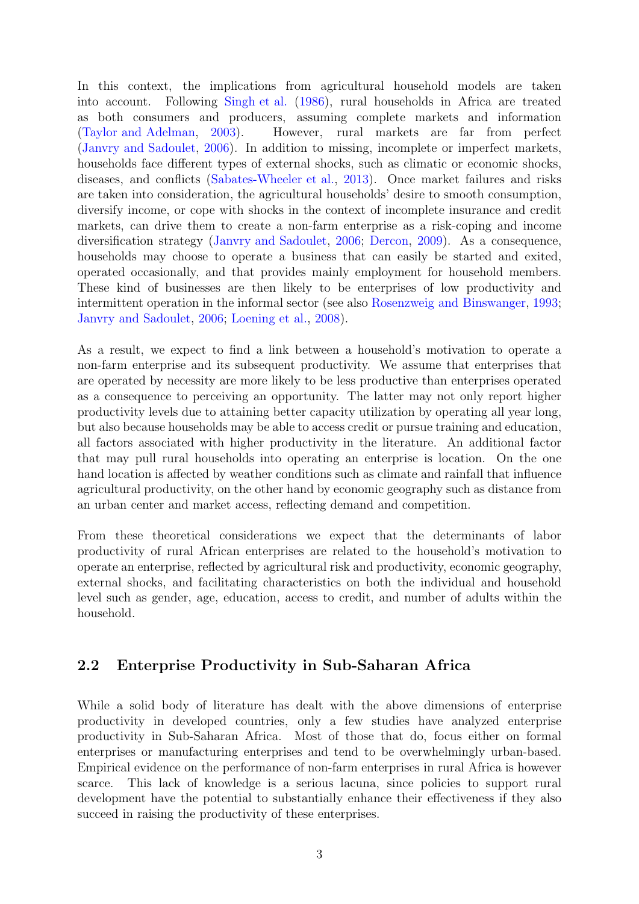In this context, the implications from agricultural household models are taken into account. Following [Singh et al.](#page-22-5) [\(1986\)](#page-22-5), rural households in Africa are treated as both consumers and producers, assuming complete markets and information [\(Taylor and Adelman,](#page-22-6) [2003\)](#page-22-6). However, rural markets are far from perfect [\(Janvry and Sadoulet,](#page-21-12) [2006\)](#page-21-12). In addition to missing, incomplete or imperfect markets, households face different types of external shocks, such as climatic or economic shocks, diseases, and conflicts [\(Sabates-Wheeler et al.,](#page-22-7) [2013\)](#page-22-7). Once market failures and risks are taken into consideration, the agricultural households' desire to smooth consumption, diversify income, or cope with shocks in the context of incomplete insurance and credit markets, can drive them to create a non-farm enterprise as a risk-coping and income diversification strategy [\(Janvry and Sadoulet,](#page-21-12) [2006;](#page-21-12) [Dercon,](#page-20-7) [2009\)](#page-20-7). As a consequence, households may choose to operate a business that can easily be started and exited, operated occasionally, and that provides mainly employment for household members. These kind of businesses are then likely to be enterprises of low productivity and intermittent operation in the informal sector (see also [Rosenzweig and Binswanger,](#page-22-8) [1993;](#page-22-8) [Janvry and Sadoulet,](#page-21-12) [2006;](#page-21-12) [Loening et al.,](#page-21-13) [2008\)](#page-21-13).

As a result, we expect to find a link between a household's motivation to operate a non-farm enterprise and its subsequent productivity. We assume that enterprises that are operated by necessity are more likely to be less productive than enterprises operated as a consequence to perceiving an opportunity. The latter may not only report higher productivity levels due to attaining better capacity utilization by operating all year long, but also because households may be able to access credit or pursue training and education, all factors associated with higher productivity in the literature. An additional factor that may pull rural households into operating an enterprise is location. On the one hand location is affected by weather conditions such as climate and rainfall that influence agricultural productivity, on the other hand by economic geography such as distance from an urban center and market access, reflecting demand and competition.

From these theoretical considerations we expect that the determinants of labor productivity of rural African enterprises are related to the household's motivation to operate an enterprise, reflected by agricultural risk and productivity, economic geography, external shocks, and facilitating characteristics on both the individual and household level such as gender, age, education, access to credit, and number of adults within the household.

### <span id="page-5-0"></span>2.2 Enterprise Productivity in Sub-Saharan Africa

While a solid body of literature has dealt with the above dimensions of enterprise productivity in developed countries, only a few studies have analyzed enterprise productivity in Sub-Saharan Africa. Most of those that do, focus either on formal enterprises or manufacturing enterprises and tend to be overwhelmingly urban-based. Empirical evidence on the performance of non-farm enterprises in rural Africa is however scarce. This lack of knowledge is a serious lacuna, since policies to support rural development have the potential to substantially enhance their effectiveness if they also succeed in raising the productivity of these enterprises.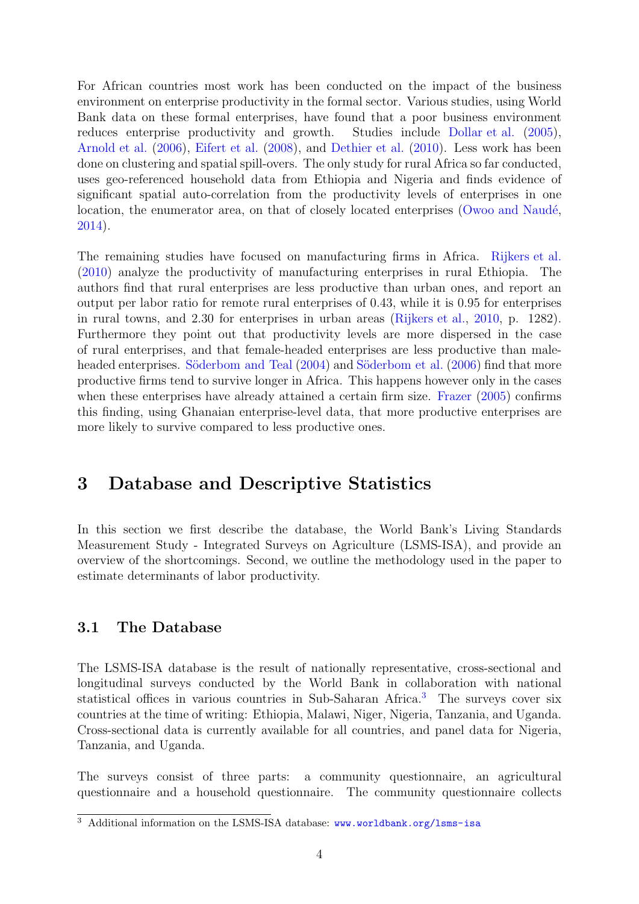For African countries most work has been conducted on the impact of the business environment on enterprise productivity in the formal sector. Various studies, using World Bank data on these formal enterprises, have found that a poor business environment reduces enterprise productivity and growth. Studies include [Dollar et al.](#page-20-8)  $(2005)$ , [Arnold et al.](#page-20-9) [\(2006\)](#page-20-9), [Eifert et al.](#page-20-10) [\(2008\)](#page-20-10), and [Dethier et al.](#page-20-11) [\(2010\)](#page-20-11). Less work has been done on clustering and spatial spill-overs. The only study for rural Africa so far conducted, uses geo-referenced household data from Ethiopia and Nigeria and finds evidence of significant spatial auto-correlation from the productivity levels of enterprises in one location, the enumerator area, on that of closely located enterprises ( $\overline{\text{Owood}}$  and Naudé, [2014\)](#page-21-6).

The remaining studies have focused on manufacturing firms in Africa. [Rijkers et al.](#page-22-9) [\(2010\)](#page-22-9) analyze the productivity of manufacturing enterprises in rural Ethiopia. The authors find that rural enterprises are less productive than urban ones, and report an output per labor ratio for remote rural enterprises of 0.43, while it is 0.95 for enterprises in rural towns, and 2.30 for enterprises in urban areas [\(Rijkers et al.,](#page-22-9) [2010,](#page-22-9) p. 1282). Furthermore they point out that productivity levels are more dispersed in the case of rural enterprises, and that female-headed enterprises are less productive than male-headed enterprises. Söderbom and Teal [\(2004\)](#page-22-10) and Söderbom et al. [\(2006\)](#page-22-11) find that more productive firms tend to survive longer in Africa. This happens however only in the cases when these enterprises have already attained a certain firm size. [Frazer](#page-21-14) [\(2005\)](#page-21-14) confirms this finding, using Ghanaian enterprise-level data, that more productive enterprises are more likely to survive compared to less productive ones.

### <span id="page-6-0"></span>3 Database and Descriptive Statistics

In this section we first describe the database, the World Bank's Living Standards Measurement Study - Integrated Surveys on Agriculture (LSMS-ISA), and provide an overview of the shortcomings. Second, we outline the methodology used in the paper to estimate determinants of labor productivity.

#### 3.1 The Database

The LSMS-ISA database is the result of nationally representative, cross-sectional and longitudinal surveys conducted by the World Bank in collaboration with national statistical offices in various countries in Sub-Saharan Africa.<sup>[3](#page-6-1)</sup> The surveys cover six countries at the time of writing: Ethiopia, Malawi, Niger, Nigeria, Tanzania, and Uganda. Cross-sectional data is currently available for all countries, and panel data for Nigeria, Tanzania, and Uganda.

The surveys consist of three parts: a community questionnaire, an agricultural questionnaire and a household questionnaire. The community questionnaire collects

<span id="page-6-1"></span><sup>&</sup>lt;sup>3</sup> Additional information on the LSMS-ISA database: <www.worldbank.org/lsms-isa>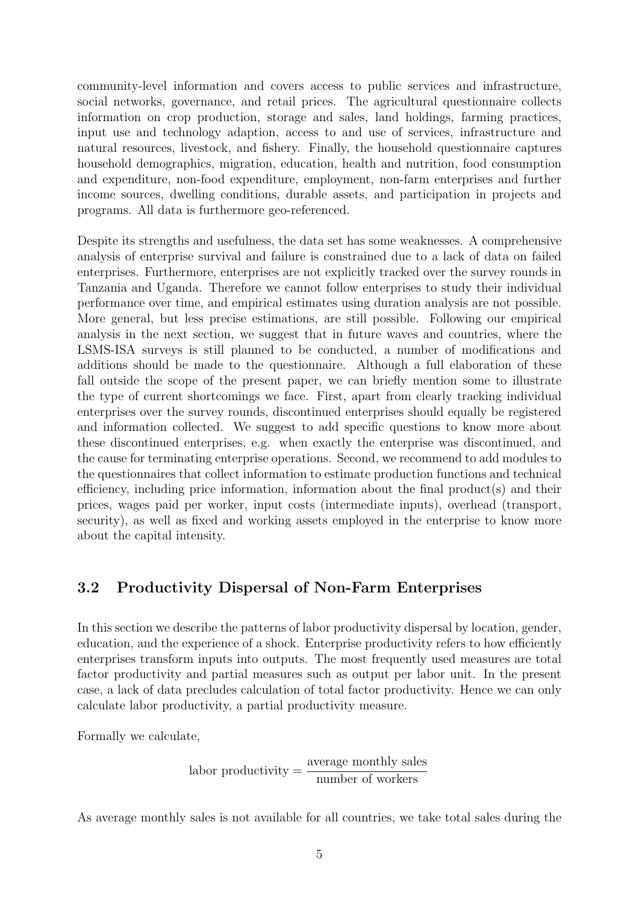community-level information and covers access to public services and infrastructure, social networks, governance, and retail prices. The agricultural questionnaire collects information on crop production, storage and sales, land holdings, farming practices, input use and technology adaption, access to and use of services, infrastructure and natural resources, livestock, and fishery. Finally, the household questionnaire captures household demographics, migration, education, health and nutrition, food consumption and expenditure, non-food expenditure, employment, non-farm enterprises and further income sources, dwelling conditions, durable assets, and participation in projects and programs. All data is furthermore geo-referenced.

Despite its strengths and usefulness, the data set has some weaknesses. A comprehensive analysis of enterprise survival and failure is constrained due to a lack of data on failed enterprises. Furthermore, enterprises are not explicitly tracked over the survey rounds in Tanzania and Uganda. Therefore we cannot follow enterprises to study their individual performance over time, and empirical estimates using duration analysis are not possible. More general, but less precise estimations, are still possible. Following our empirical analysis in the next section, we suggest that in future waves and countries, where the LSMS-ISA surveys is still planned to be conducted, a number of modifications and additions should be made to the questionnaire. Although a full elaboration of these fall outside the scope of the present paper, we can briefly mention some to illustrate the type of current shortcomings we face. First, apart from clearly tracking individual enterprises over the survey rounds, discontinued enterprises should equally be registered and information collected. We suggest to add specific questions to know more about these discontinued enterprises, e.g. when exactly the enterprise was discontinued, and the cause for terminating enterprise operations. Second, we recommend to add modules to the questionnaires that collect information to estimate production functions and technical efficiency, including price information, information about the final product(s) and their prices, wages paid per worker, input costs (intermediate inputs), overhead (transport, security), as well as fixed and working assets employed in the enterprise to know more about the capital intensity.

#### <span id="page-7-0"></span>3.2 Productivity Dispersal of Non-Farm Enterprises

In this section we describe the patterns of labor productivity dispersal by location, gender, education, and the experience of a shock. Enterprise productivity refers to how efficiently enterprises transform inputs into outputs. The most frequently used measures are total factor productivity and partial measures such as output per labor unit. In the present case, a lack of data precludes calculation of total factor productivity. Hence we can only calculate labor productivity, a partial productivity measure.

Formally we calculate,

labor productivity  $=\frac{\text{average monthly sales}}{1-\frac{c}{c}}$ number of workers

As average monthly sales is not available for all countries, we take total sales during the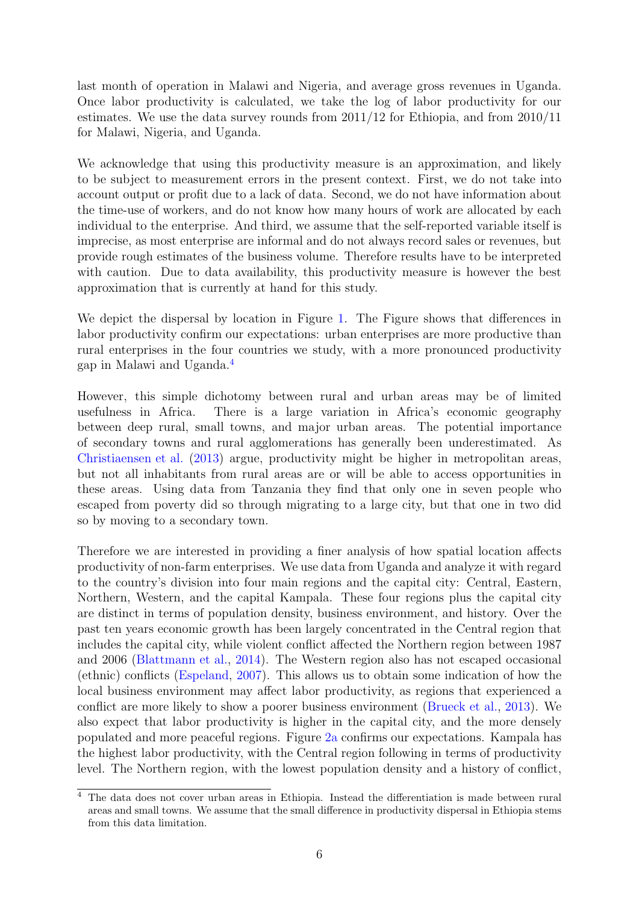last month of operation in Malawi and Nigeria, and average gross revenues in Uganda. Once labor productivity is calculated, we take the log of labor productivity for our estimates. We use the data survey rounds from 2011/12 for Ethiopia, and from 2010/11 for Malawi, Nigeria, and Uganda.

We acknowledge that using this productivity measure is an approximation, and likely to be subject to measurement errors in the present context. First, we do not take into account output or profit due to a lack of data. Second, we do not have information about the time-use of workers, and do not know how many hours of work are allocated by each individual to the enterprise. And third, we assume that the self-reported variable itself is imprecise, as most enterprise are informal and do not always record sales or revenues, but provide rough estimates of the business volume. Therefore results have to be interpreted with caution. Due to data availability, this productivity measure is however the best approximation that is currently at hand for this study.

We depict the dispersal by location in Figure [1.](#page-9-0) The Figure shows that differences in labor productivity confirm our expectations: urban enterprises are more productive than rural enterprises in the four countries we study, with a more pronounced productivity gap in Malawi and Uganda.[4](#page-8-0)

However, this simple dichotomy between rural and urban areas may be of limited usefulness in Africa. There is a large variation in Africa's economic geography between deep rural, small towns, and major urban areas. The potential importance of secondary towns and rural agglomerations has generally been underestimated. As [Christiaensen et al.](#page-20-12) [\(2013\)](#page-20-12) argue, productivity might be higher in metropolitan areas, but not all inhabitants from rural areas are or will be able to access opportunities in these areas. Using data from Tanzania they find that only one in seven people who escaped from poverty did so through migrating to a large city, but that one in two did so by moving to a secondary town.

Therefore we are interested in providing a finer analysis of how spatial location affects productivity of non-farm enterprises. We use data from Uganda and analyze it with regard to the country's division into four main regions and the capital city: Central, Eastern, Northern, Western, and the capital Kampala. These four regions plus the capital city are distinct in terms of population density, business environment, and history. Over the past ten years economic growth has been largely concentrated in the Central region that includes the capital city, while violent conflict affected the Northern region between 1987 and 2006 [\(Blattmann et al.,](#page-20-13) [2014\)](#page-20-13). The Western region also has not escaped occasional (ethnic) conflicts [\(Espeland,](#page-21-15) [2007\)](#page-21-15). This allows us to obtain some indication of how the local business environment may affect labor productivity, as regions that experienced a conflict are more likely to show a poorer business environment [\(Brueck et al.,](#page-20-14) [2013\)](#page-20-14). We also expect that labor productivity is higher in the capital city, and the more densely populated and more peaceful regions. Figure [2a](#page-10-1) confirms our expectations. Kampala has the highest labor productivity, with the Central region following in terms of productivity level. The Northern region, with the lowest population density and a history of conflict,

<span id="page-8-0"></span><sup>4</sup> The data does not cover urban areas in Ethiopia. Instead the differentiation is made between rural areas and small towns. We assume that the small difference in productivity dispersal in Ethiopia stems from this data limitation.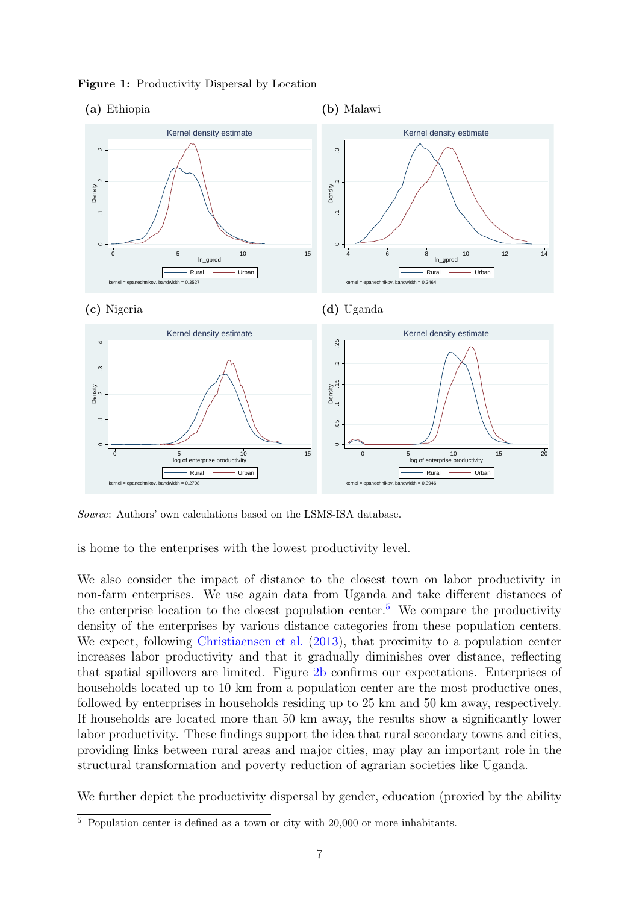

<span id="page-9-0"></span>Figure 1: Productivity Dispersal by Location

Source: Authors' own calculations based on the LSMS-ISA database.

is home to the enterprises with the lowest productivity level.

We also consider the impact of distance to the closest town on labor productivity in non-farm enterprises. We use again data from Uganda and take different distances of the enterprise location to the closest population center.<sup>[5](#page-9-1)</sup> We compare the productivity density of the enterprises by various distance categories from these population centers. We expect, following [Christiaensen et al.](#page-20-12) [\(2013\)](#page-20-12), that proximity to a population center increases labor productivity and that it gradually diminishes over distance, reflecting that spatial spillovers are limited. Figure [2b](#page-10-1) confirms our expectations. Enterprises of households located up to 10 km from a population center are the most productive ones, followed by enterprises in households residing up to 25 km and 50 km away, respectively. If households are located more than 50 km away, the results show a significantly lower labor productivity. These findings support the idea that rural secondary towns and cities, providing links between rural areas and major cities, may play an important role in the structural transformation and poverty reduction of agrarian societies like Uganda.

We further depict the productivity dispersal by gender, education (proxied by the ability

<span id="page-9-1"></span> $\overline{5}$  Population center is defined as a town or city with 20,000 or more inhabitants.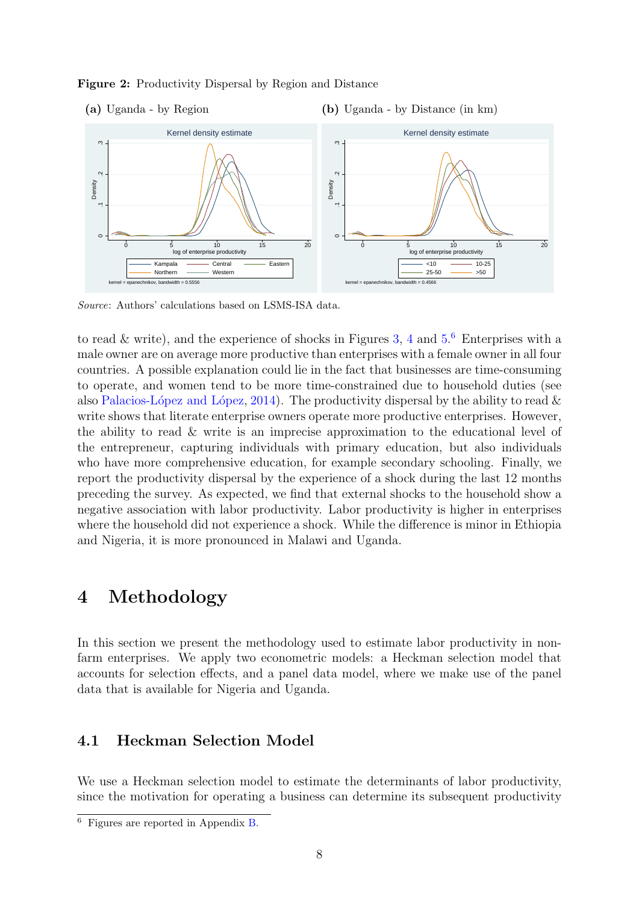<span id="page-10-1"></span>



Source: Authors' calculations based on LSMS-ISA data.

to read & write), and the experience of shocks in Figures [3,](#page-24-0) [4](#page-25-0) and  $5<sup>6</sup>$  $5<sup>6</sup>$  $5<sup>6</sup>$  Enterprises with a male owner are on average more productive than enterprises with a female owner in all four countries. A possible explanation could lie in the fact that businesses are time-consuming to operate, and women tend to be more time-constrained due to household duties (see also Palacios-López and López, [2014\)](#page-22-12). The productivity dispersal by the ability to read  $\&$ write shows that literate enterprise owners operate more productive enterprises. However, the ability to read & write is an imprecise approximation to the educational level of the entrepreneur, capturing individuals with primary education, but also individuals who have more comprehensive education, for example secondary schooling. Finally, we report the productivity dispersal by the experience of a shock during the last 12 months preceding the survey. As expected, we find that external shocks to the household show a negative association with labor productivity. Labor productivity is higher in enterprises where the household did not experience a shock. While the difference is minor in Ethiopia and Nigeria, it is more pronounced in Malawi and Uganda.

### <span id="page-10-0"></span>4 Methodology

In this section we present the methodology used to estimate labor productivity in nonfarm enterprises. We apply two econometric models: a Heckman selection model that accounts for selection effects, and a panel data model, where we make use of the panel data that is available for Nigeria and Uganda.

#### 4.1 Heckman Selection Model

We use a Heckman selection model to estimate the determinants of labor productivity, since the motivation for operating a business can determine its subsequent productivity

<span id="page-10-2"></span> $\overline{6}$  Figures are reported in Appendix [B.](#page-24-1)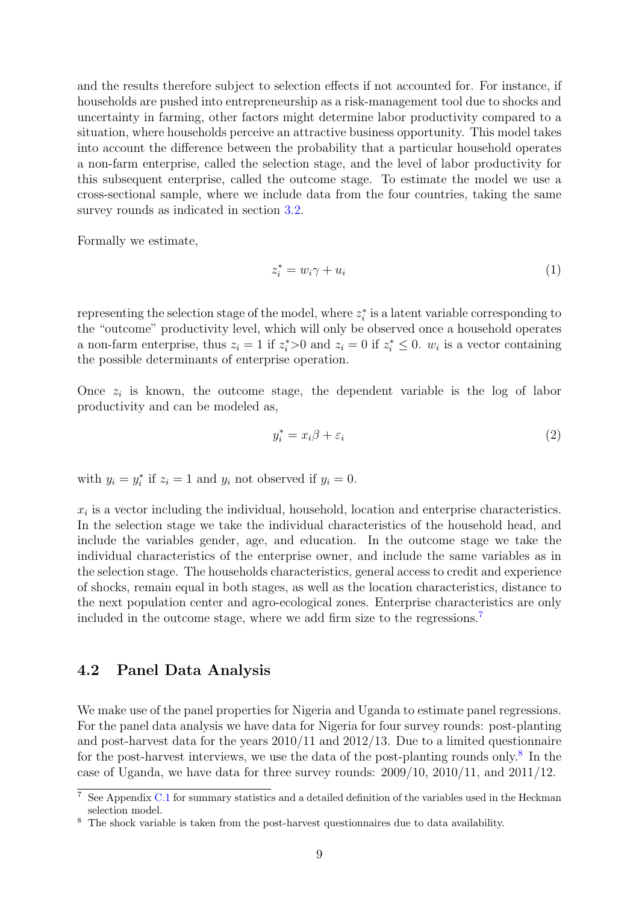and the results therefore subject to selection effects if not accounted for. For instance, if households are pushed into entrepreneurship as a risk-management tool due to shocks and uncertainty in farming, other factors might determine labor productivity compared to a situation, where households perceive an attractive business opportunity. This model takes into account the difference between the probability that a particular household operates a non-farm enterprise, called the selection stage, and the level of labor productivity for this subsequent enterprise, called the outcome stage. To estimate the model we use a cross-sectional sample, where we include data from the four countries, taking the same survey rounds as indicated in section [3.2.](#page-7-0)

Formally we estimate,

$$
z_i^* = w_i \gamma + u_i \tag{1}
$$

representing the selection stage of the model, where  $z_i^*$  is a latent variable corresponding to the "outcome" productivity level, which will only be observed once a household operates a non-farm enterprise, thus  $z_i = 1$  if  $z_i^* > 0$  and  $z_i = 0$  if  $z_i^* \leq 0$ .  $w_i$  is a vector containing the possible determinants of enterprise operation.

Once  $z_i$  is known, the outcome stage, the dependent variable is the log of labor productivity and can be modeled as,

$$
y_i^* = x_i \beta + \varepsilon_i \tag{2}
$$

with  $y_i = y_i^*$  if  $z_i = 1$  and  $y_i$  not observed if  $y_i = 0$ .

 $x_i$  is a vector including the individual, household, location and enterprise characteristics. In the selection stage we take the individual characteristics of the household head, and include the variables gender, age, and education. In the outcome stage we take the individual characteristics of the enterprise owner, and include the same variables as in the selection stage. The households characteristics, general access to credit and experience of shocks, remain equal in both stages, as well as the location characteristics, distance to the next population center and agro-ecological zones. Enterprise characteristics are only included in the outcome stage, where we add firm size to the regressions.[7](#page-11-0)

#### 4.2 Panel Data Analysis

We make use of the panel properties for Nigeria and Uganda to estimate panel regressions. For the panel data analysis we have data for Nigeria for four survey rounds: post-planting and post-harvest data for the years 2010/11 and 2012/13. Due to a limited questionnaire for the post-harvest interviews, we use the data of the post-planting rounds only.<sup>[8](#page-11-1)</sup> In the case of Uganda, we have data for three survey rounds: 2009/10, 2010/11, and 2011/12.

<span id="page-11-0"></span><sup>7</sup> See Appendix [C.1](#page-27-0) for summary statistics and a detailed definition of the variables used in the Heckman selection model.

<span id="page-11-1"></span><sup>&</sup>lt;sup>8</sup> The shock variable is taken from the post-harvest questionnaires due to data availability.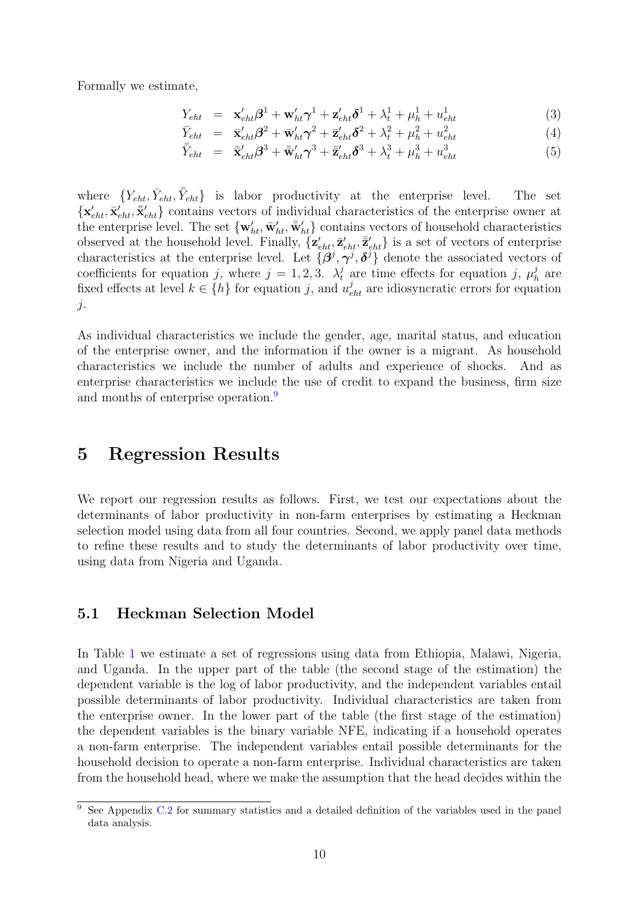Formally we estimate,

$$
Y_{eht} = \mathbf{x}'_{eht} \boldsymbol{\beta}^{1} + \mathbf{w}'_{ht} \boldsymbol{\gamma}^{1} + \mathbf{z}'_{eht} \boldsymbol{\delta}^{1} + \lambda_{t}^{1} + \mu_{h}^{1} + u_{eht}^{1}
$$
(3)

$$
\bar{Y}_{eht} = \bar{\mathbf{x}}'_{eht} \beta^2 + \bar{\mathbf{w}}'_{ht} \gamma^2 + \bar{\mathbf{z}}'_{eht} \delta^2 + \lambda_t^2 + \mu_h^2 + u_{eht}^2 \tag{4}
$$

$$
\bar{\bar{Y}}_{eht} = \bar{\mathbf{x}}'_{eht} \boldsymbol{\beta}^3 + \bar{\mathbf{w}}'_{ht} \boldsymbol{\gamma}^3 + \bar{\mathbf{z}}'_{eht} \boldsymbol{\delta}^3 + \lambda_t^3 + \mu_h^3 + u_{eht}^3 \tag{5}
$$

where  ${Y_{eht}, \bar{Y}_{eht}, \bar{\bar{Y}}_{eht}}$  is labor productivity at the enterprise level. The set  $\{\mathbf x'_{eht}, \bar{\mathbf x}'_{eht}, \bar{\mathbf x}'_{eht}\}\$ contains vectors of individual characteristics of the enterprise owner at the enterprise level. The set  $\{w'_{ht}, \bar{w}'_{ht}, \bar{w}'_{ht}\}$  contains vectors of household characteristics observed at the household level. Finally,  $\{z'_{eht}, \bar{z}'_{eht}, \bar{z}'_{eht}\}$  is a set of vectors of enterprise characteristics at the enterprise level. Let  $\{\beta^j, \gamma^j, \delta^j\}$  denote the associated vectors of coefficients for equation j, where  $j = 1, 2, 3$ .  $\lambda_t^j$  are time effects for equation j,  $\mu_t^j$  $\frac{\jmath}{h}$  are fixed effects at level  $k \in \{h\}$  for equation j, and  $u_{eht}^j$  are idiosyncratic errors for equation  $j$ .

As individual characteristics we include the gender, age, marital status, and education of the enterprise owner, and the information if the owner is a migrant. As household characteristics we include the number of adults and experience of shocks. And as enterprise characteristics we include the use of credit to expand the business, firm size and months of enterprise operation.<sup>[9](#page-12-1)</sup>

### <span id="page-12-0"></span>5 Regression Results

We report our regression results as follows. First, we test our expectations about the determinants of labor productivity in non-farm enterprises by estimating a Heckman selection model using data from all four countries. Second, we apply panel data methods to refine these results and to study the determinants of labor productivity over time, using data from Nigeria and Uganda.

#### 5.1 Heckman Selection Model

In Table [1](#page-14-0) we estimate a set of regressions using data from Ethiopia, Malawi, Nigeria, and Uganda. In the upper part of the table (the second stage of the estimation) the dependent variable is the log of labor productivity, and the independent variables entail possible determinants of labor productivity. Individual characteristics are taken from the enterprise owner. In the lower part of the table (the first stage of the estimation) the dependent variables is the binary variable NFE, indicating if a household operates a non-farm enterprise. The independent variables entail possible determinants for the household decision to operate a non-farm enterprise. Individual characteristics are taken from the household head, where we make the assumption that the head decides within the

<span id="page-12-1"></span> $\frac{9}{9}$  See Appendix [C.2](#page-29-0) for summary statistics and a detailed definition of the variables used in the panel data analysis.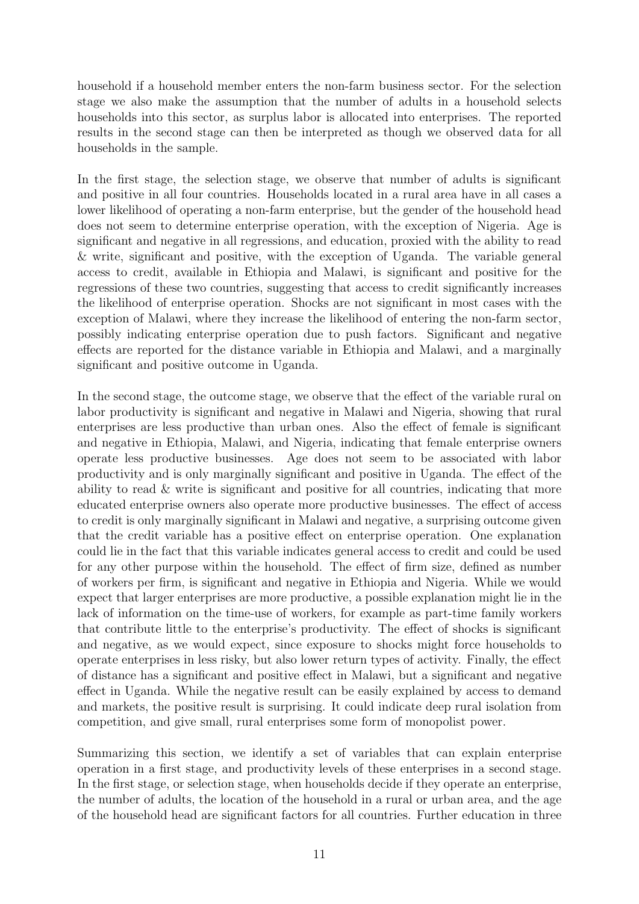household if a household member enters the non-farm business sector. For the selection stage we also make the assumption that the number of adults in a household selects households into this sector, as surplus labor is allocated into enterprises. The reported results in the second stage can then be interpreted as though we observed data for all households in the sample.

In the first stage, the selection stage, we observe that number of adults is significant and positive in all four countries. Households located in a rural area have in all cases a lower likelihood of operating a non-farm enterprise, but the gender of the household head does not seem to determine enterprise operation, with the exception of Nigeria. Age is significant and negative in all regressions, and education, proxied with the ability to read & write, significant and positive, with the exception of Uganda. The variable general access to credit, available in Ethiopia and Malawi, is significant and positive for the regressions of these two countries, suggesting that access to credit significantly increases the likelihood of enterprise operation. Shocks are not significant in most cases with the exception of Malawi, where they increase the likelihood of entering the non-farm sector, possibly indicating enterprise operation due to push factors. Significant and negative effects are reported for the distance variable in Ethiopia and Malawi, and a marginally significant and positive outcome in Uganda.

In the second stage, the outcome stage, we observe that the effect of the variable rural on labor productivity is significant and negative in Malawi and Nigeria, showing that rural enterprises are less productive than urban ones. Also the effect of female is significant and negative in Ethiopia, Malawi, and Nigeria, indicating that female enterprise owners operate less productive businesses. Age does not seem to be associated with labor productivity and is only marginally significant and positive in Uganda. The effect of the ability to read & write is significant and positive for all countries, indicating that more educated enterprise owners also operate more productive businesses. The effect of access to credit is only marginally significant in Malawi and negative, a surprising outcome given that the credit variable has a positive effect on enterprise operation. One explanation could lie in the fact that this variable indicates general access to credit and could be used for any other purpose within the household. The effect of firm size, defined as number of workers per firm, is significant and negative in Ethiopia and Nigeria. While we would expect that larger enterprises are more productive, a possible explanation might lie in the lack of information on the time-use of workers, for example as part-time family workers that contribute little to the enterprise's productivity. The effect of shocks is significant and negative, as we would expect, since exposure to shocks might force households to operate enterprises in less risky, but also lower return types of activity. Finally, the effect of distance has a significant and positive effect in Malawi, but a significant and negative effect in Uganda. While the negative result can be easily explained by access to demand and markets, the positive result is surprising. It could indicate deep rural isolation from competition, and give small, rural enterprises some form of monopolist power.

Summarizing this section, we identify a set of variables that can explain enterprise operation in a first stage, and productivity levels of these enterprises in a second stage. In the first stage, or selection stage, when households decide if they operate an enterprise, the number of adults, the location of the household in a rural or urban area, and the age of the household head are significant factors for all countries. Further education in three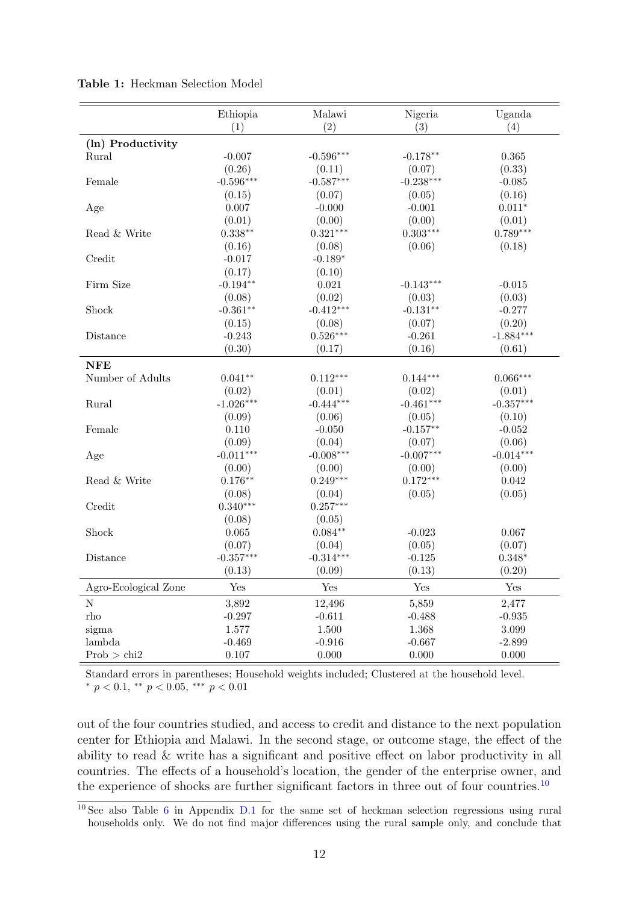|                      | Ethiopia    | Malawi      | Nigeria     | Uganda      |
|----------------------|-------------|-------------|-------------|-------------|
|                      | (1)         | (2)         | (3)         | (4)         |
| (ln) Productivity    |             |             |             |             |
| Rural                | $-0.007$    | $-0.596***$ | $-0.178**$  | 0.365       |
|                      | (0.26)      | (0.11)      | (0.07)      | (0.33)      |
| Female               | $-0.596***$ | $-0.587***$ | $-0.238***$ | $-0.085$    |
|                      | (0.15)      | (0.07)      | (0.05)      | (0.16)      |
| Age                  | 0.007       | $-0.000$    | $-0.001$    | $0.011*$    |
|                      | (0.01)      | (0.00)      | (0.00)      | (0.01)      |
| Read & Write         | $0.338**$   | $0.321***$  | $0.303***$  | $0.789***$  |
|                      | (0.16)      | (0.08)      | (0.06)      | (0.18)      |
| Credit               | $-0.017$    | $-0.189*$   |             |             |
|                      | (0.17)      | (0.10)      |             |             |
| Firm Size            | $-0.194**$  | 0.021       | $-0.143***$ | $-0.015$    |
|                      | (0.08)      | (0.02)      | (0.03)      | (0.03)      |
| Shock                | $-0.361**$  | $-0.412***$ | $-0.131**$  | $-0.277$    |
|                      | (0.15)      | (0.08)      | (0.07)      | (0.20)      |
| Distance             | $-0.243$    | $0.526***$  | $-0.261$    | $-1.884***$ |
|                      | (0.30)      | (0.17)      | (0.16)      | (0.61)      |
| <b>NFE</b>           |             |             |             |             |
| Number of Adults     | $0.041**$   | $0.112***$  | $0.144***$  | $0.066***$  |
|                      | (0.02)      | (0.01)      | (0.02)      | (0.01)      |
| Rural                | $-1.026***$ | $-0.444***$ | $-0.461***$ | $-0.357***$ |
|                      | (0.09)      | (0.06)      | (0.05)      | (0.10)      |
| Female               | 0.110       | $-0.050$    | $-0.157**$  | $-0.052$    |
|                      | (0.09)      | (0.04)      | (0.07)      | (0.06)      |
| Age                  | $-0.011***$ | $-0.008***$ | $-0.007***$ | $-0.014***$ |
|                      | (0.00)      | (0.00)      | (0.00)      | (0.00)      |
| Read & Write         | $0.176**$   | $0.249***$  | $0.172***$  | 0.042       |
|                      | (0.08)      | (0.04)      | (0.05)      | (0.05)      |
| Credit               | $0.340***$  | $0.257***$  |             |             |
|                      | (0.08)      | (0.05)      |             |             |
| Shock                | 0.065       | $0.084**$   | $-0.023$    | 0.067       |
|                      | (0.07)      | (0.04)      | (0.05)      | (0.07)      |
| Distance             | $-0.357***$ | $-0.314***$ | $-0.125$    | $0.348*$    |
|                      | (0.13)      | (0.09)      | (0.13)      | (0.20)      |
|                      | Yes         | Yes         | Yes         | Yes         |
| Agro-Ecological Zone |             |             |             |             |
| $\mathbf N$          | 3,892       | 12,496      | 5,859       | 2,477       |
| rho                  | $-0.297$    | $-0.611$    | $-0.488$    | $-0.935$    |
| sigma                | 1.577       | 1.500       | 1.368       | 3.099       |
| lambda               | $-0.469$    | $-0.916$    | $-0.667$    | $-2.899$    |
| Prob > chi2          | 0.107       | 0.000       | 0.000       | 0.000       |

<span id="page-14-0"></span>Table 1: Heckman Selection Model

Standard errors in parentheses; Household weights included; Clustered at the household level. \*  $p < 0.1$ , \*\*  $p < 0.05$ , \*\*\*  $p < 0.01$ 

out of the four countries studied, and access to credit and distance to the next population center for Ethiopia and Malawi. In the second stage, or outcome stage, the effect of the ability to read & write has a significant and positive effect on labor productivity in all countries. The effects of a household's location, the gender of the enterprise owner, and the experience of shocks are further significant factors in three out of four countries.<sup>[10](#page-14-1)</sup>

<span id="page-14-1"></span><sup>&</sup>lt;sup>10</sup> See also Table [6](#page-30-0) in Appendix [D.1](#page-30-1) for the same set of heckman selection regressions using rural households only. We do not find major differences using the rural sample only, and conclude that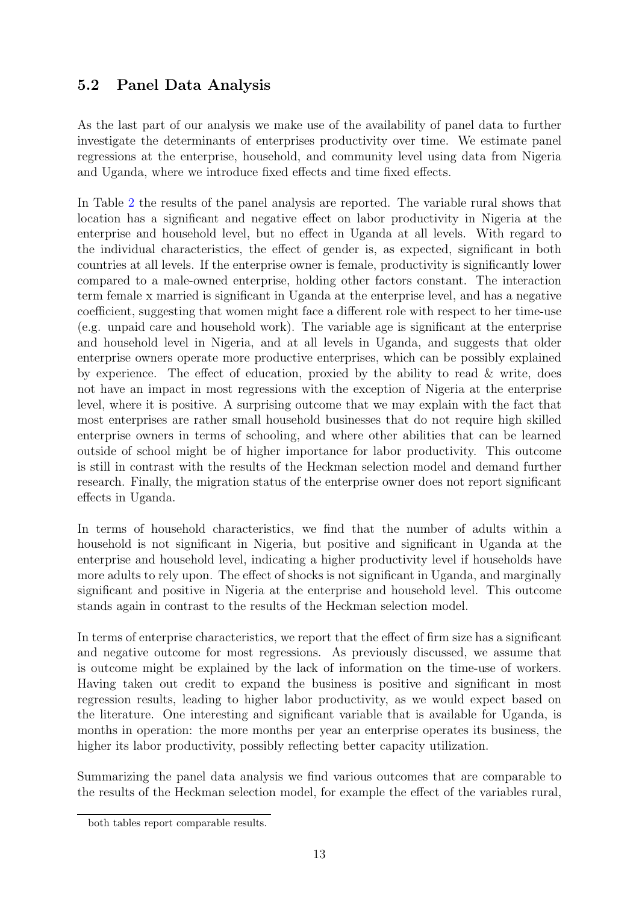### 5.2 Panel Data Analysis

As the last part of our analysis we make use of the availability of panel data to further investigate the determinants of enterprises productivity over time. We estimate panel regressions at the enterprise, household, and community level using data from Nigeria and Uganda, where we introduce fixed effects and time fixed effects.

In Table [2](#page-16-0) the results of the panel analysis are reported. The variable rural shows that location has a significant and negative effect on labor productivity in Nigeria at the enterprise and household level, but no effect in Uganda at all levels. With regard to the individual characteristics, the effect of gender is, as expected, significant in both countries at all levels. If the enterprise owner is female, productivity is significantly lower compared to a male-owned enterprise, holding other factors constant. The interaction term female x married is significant in Uganda at the enterprise level, and has a negative coefficient, suggesting that women might face a different role with respect to her time-use (e.g. unpaid care and household work). The variable age is significant at the enterprise and household level in Nigeria, and at all levels in Uganda, and suggests that older enterprise owners operate more productive enterprises, which can be possibly explained by experience. The effect of education, proxied by the ability to read & write, does not have an impact in most regressions with the exception of Nigeria at the enterprise level, where it is positive. A surprising outcome that we may explain with the fact that most enterprises are rather small household businesses that do not require high skilled enterprise owners in terms of schooling, and where other abilities that can be learned outside of school might be of higher importance for labor productivity. This outcome is still in contrast with the results of the Heckman selection model and demand further research. Finally, the migration status of the enterprise owner does not report significant effects in Uganda.

In terms of household characteristics, we find that the number of adults within a household is not significant in Nigeria, but positive and significant in Uganda at the enterprise and household level, indicating a higher productivity level if households have more adults to rely upon. The effect of shocks is not significant in Uganda, and marginally significant and positive in Nigeria at the enterprise and household level. This outcome stands again in contrast to the results of the Heckman selection model.

In terms of enterprise characteristics, we report that the effect of firm size has a significant and negative outcome for most regressions. As previously discussed, we assume that is outcome might be explained by the lack of information on the time-use of workers. Having taken out credit to expand the business is positive and significant in most regression results, leading to higher labor productivity, as we would expect based on the literature. One interesting and significant variable that is available for Uganda, is months in operation: the more months per year an enterprise operates its business, the higher its labor productivity, possibly reflecting better capacity utilization.

Summarizing the panel data analysis we find various outcomes that are comparable to the results of the Heckman selection model, for example the effect of the variables rural,

both tables report comparable results.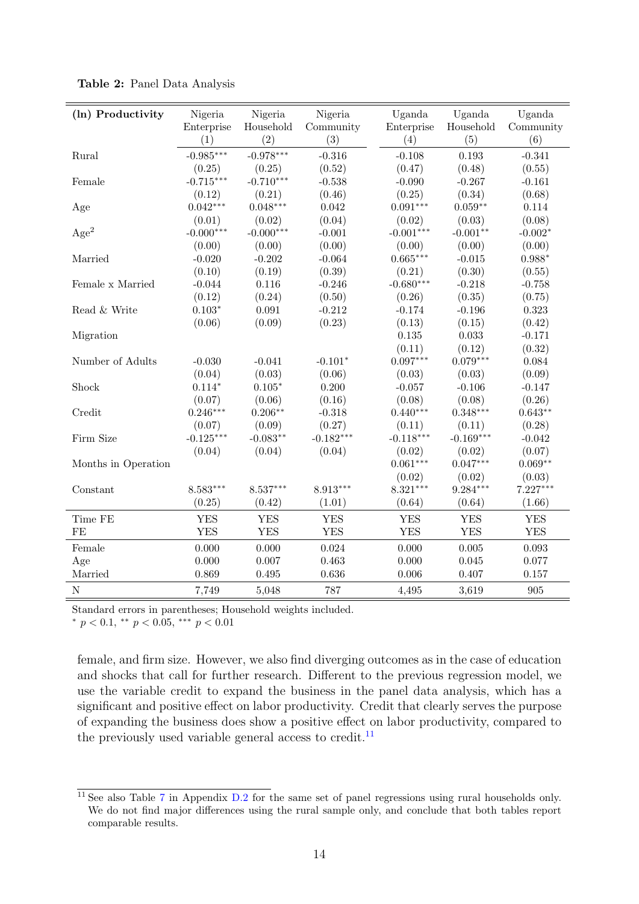| (ln) Productivity   | Nigeria               | Nigeria               | Nigeria          | Uganda               | Uganda              | Uganda             |
|---------------------|-----------------------|-----------------------|------------------|----------------------|---------------------|--------------------|
|                     | Enterprise<br>(1)     | Household<br>(2)      | Community<br>(3) | Enterprise<br>(4)    | Household<br>(5)    | Community<br>(6)   |
|                     | $-0.985***$           | $-0.978***$           | $-0.316$         | $-0.108$             |                     | $-0.341$           |
| Rural               |                       |                       |                  |                      | $\,0.193\,$         |                    |
|                     | (0.25)<br>$-0.715***$ | (0.25)<br>$-0.710***$ | (0.52)           | (0.47)               | (0.48)              | (0.55)             |
| Female              |                       |                       | $-0.538$         | $-0.090$             | $-0.267$            | $-0.161$           |
|                     | (0.12)<br>$0.042***$  | (0.21)<br>$0.048***$  | (0.46)           | (0.25)               | (0.34)<br>$0.059**$ | (0.68)             |
| Age                 |                       |                       | 0.042            | $0.091***$           |                     | 0.114              |
|                     | (0.01)                | (0.02)                | (0.04)           | (0.02)               | (0.03)              | (0.08)             |
| Age <sup>2</sup>    | $-0.000***$           | $-0.000***$           | $-0.001$         | $-0.001***$          | $-0.001**$          | $-0.002*$          |
|                     | (0.00)                | (0.00)                | (0.00)           | (0.00)<br>$0.665***$ | (0.00)              | (0.00)<br>$0.988*$ |
| Married             | $-0.020$              | $-0.202$              | $-0.064$         |                      | $-0.015$            |                    |
|                     | (0.10)                | (0.19)                | (0.39)           | (0.21)               | (0.30)              | (0.55)             |
| Female x Married    | $-0.044$              | 0.116                 | $-0.246$         | $-0.680***$          | $-0.218$            | $-0.758$           |
|                     | (0.12)                | (0.24)                | (0.50)           | (0.26)               | (0.35)              | (0.75)             |
| Read & Write        | $0.103*$              | 0.091                 | $-0.212$         | $-0.174$             | $-0.196$            | 0.323              |
|                     | (0.06)                | (0.09)                | (0.23)           | (0.13)               | (0.15)              | (0.42)             |
| Migration           |                       |                       |                  | 0.135                | 0.033               | $-0.171$           |
|                     |                       |                       |                  | (0.11)               | (0.12)              | (0.32)             |
| Number of Adults    | $-0.030$              | $-0.041$              | $-0.101*$        | $0.097***$           | $0.079***$          | 0.084              |
|                     | (0.04)                | (0.03)                | (0.06)           | (0.03)               | (0.03)              | (0.09)             |
| Shock               | $0.114*$              | $0.105*$              | 0.200            | $-0.057$             | $-0.106$            | $-0.147$           |
|                     | (0.07)                | (0.06)                | (0.16)           | (0.08)               | (0.08)              | (0.26)             |
| Credit              | $0.246***$            | $0.206**$             | $-0.318$         | $0.440***$           | $0.348***$          | $0.643**$          |
|                     | (0.07)                | (0.09)                | (0.27)           | (0.11)               | (0.11)              | (0.28)             |
| Firm Size           | $-0.125***$           | $-0.083**$            | $-0.182***$      | $-0.118***$          | $-0.169***$         | $-0.042$           |
|                     | (0.04)                | (0.04)                | (0.04)           | (0.02)               | (0.02)              | (0.07)             |
| Months in Operation |                       |                       |                  | $0.061***$           | $0.047***$          | $0.069**$          |
|                     |                       |                       |                  | (0.02)               | (0.02)              | (0.03)             |
| Constant            | 8.583***              | 8.537***              | 8.913***         | $8.321***$           | $9.284***$          | 7.227***           |
|                     | (0.25)                | (0.42)                | (1.01)           | (0.64)               | (0.64)              | (1.66)             |
| Time FE             | <b>YES</b>            | <b>YES</b>            | <b>YES</b>       | <b>YES</b>           | <b>YES</b>          | <b>YES</b>         |
| FE                  | <b>YES</b>            | <b>YES</b>            | <b>YES</b>       | <b>YES</b>           | <b>YES</b>          | <b>YES</b>         |
| Female              | 0.000                 | 0.000                 | 0.024            | 0.000                | $0.005\,$           | 0.093              |
| Age                 | 0.000                 | 0.007                 | 0.463            | 0.000                | 0.045               | 0.077              |
| Married             | 0.869                 | 0.495                 | 0.636            | 0.006                | 0.407               | 0.157              |
| ${\bf N}$           | 7,749                 | 5,048                 | 787              | 4,495                | 3,619               | 905                |

<span id="page-16-0"></span>Table 2: Panel Data Analysis

Standard errors in parentheses; Household weights included.

\*  $p < 0.1$ , \*\*  $p < 0.05$ , \*\*\*  $p < 0.01$ 

female, and firm size. However, we also find diverging outcomes as in the case of education and shocks that call for further research. Different to the previous regression model, we use the variable credit to expand the business in the panel data analysis, which has a significant and positive effect on labor productivity. Credit that clearly serves the purpose of expanding the business does show a positive effect on labor productivity, compared to the previously used variable general access to credit.<sup>[11](#page-16-1)</sup>

<span id="page-16-1"></span> $\frac{11}{11}$  See also Table [7](#page-31-0) in Appendix [D.2](#page-31-1) for the same set of panel regressions using rural households only. We do not find major differences using the rural sample only, and conclude that both tables report comparable results.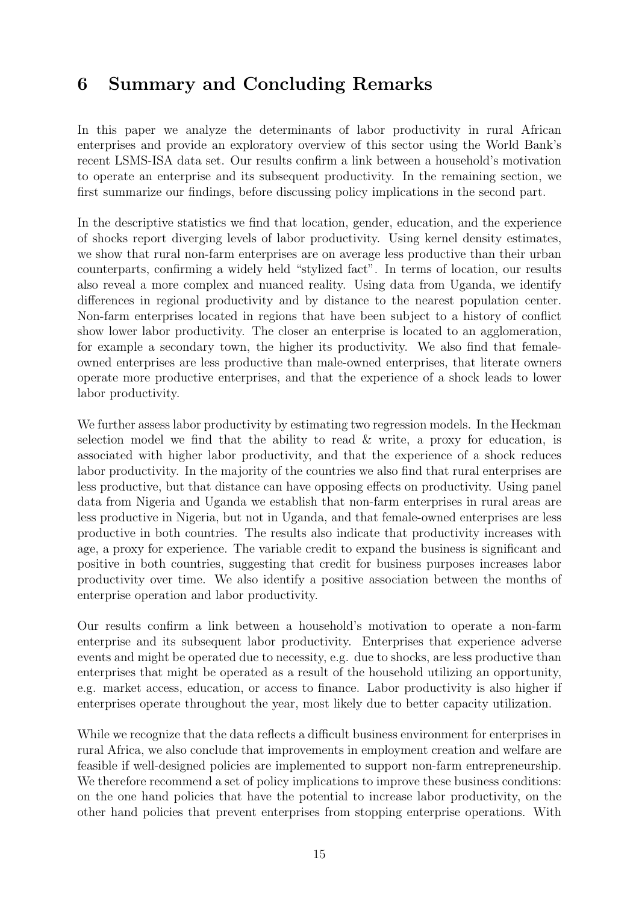## 6 Summary and Concluding Remarks

In this paper we analyze the determinants of labor productivity in rural African enterprises and provide an exploratory overview of this sector using the World Bank's recent LSMS-ISA data set. Our results confirm a link between a household's motivation to operate an enterprise and its subsequent productivity. In the remaining section, we first summarize our findings, before discussing policy implications in the second part.

In the descriptive statistics we find that location, gender, education, and the experience of shocks report diverging levels of labor productivity. Using kernel density estimates, we show that rural non-farm enterprises are on average less productive than their urban counterparts, confirming a widely held "stylized fact". In terms of location, our results also reveal a more complex and nuanced reality. Using data from Uganda, we identify differences in regional productivity and by distance to the nearest population center. Non-farm enterprises located in regions that have been subject to a history of conflict show lower labor productivity. The closer an enterprise is located to an agglomeration, for example a secondary town, the higher its productivity. We also find that femaleowned enterprises are less productive than male-owned enterprises, that literate owners operate more productive enterprises, and that the experience of a shock leads to lower labor productivity.

We further assess labor productivity by estimating two regression models. In the Heckman selection model we find that the ability to read  $\&$  write, a proxy for education, is associated with higher labor productivity, and that the experience of a shock reduces labor productivity. In the majority of the countries we also find that rural enterprises are less productive, but that distance can have opposing effects on productivity. Using panel data from Nigeria and Uganda we establish that non-farm enterprises in rural areas are less productive in Nigeria, but not in Uganda, and that female-owned enterprises are less productive in both countries. The results also indicate that productivity increases with age, a proxy for experience. The variable credit to expand the business is significant and positive in both countries, suggesting that credit for business purposes increases labor productivity over time. We also identify a positive association between the months of enterprise operation and labor productivity.

Our results confirm a link between a household's motivation to operate a non-farm enterprise and its subsequent labor productivity. Enterprises that experience adverse events and might be operated due to necessity, e.g. due to shocks, are less productive than enterprises that might be operated as a result of the household utilizing an opportunity, e.g. market access, education, or access to finance. Labor productivity is also higher if enterprises operate throughout the year, most likely due to better capacity utilization.

While we recognize that the data reflects a difficult business environment for enterprises in rural Africa, we also conclude that improvements in employment creation and welfare are feasible if well-designed policies are implemented to support non-farm entrepreneurship. We therefore recommend a set of policy implications to improve these business conditions: on the one hand policies that have the potential to increase labor productivity, on the other hand policies that prevent enterprises from stopping enterprise operations. With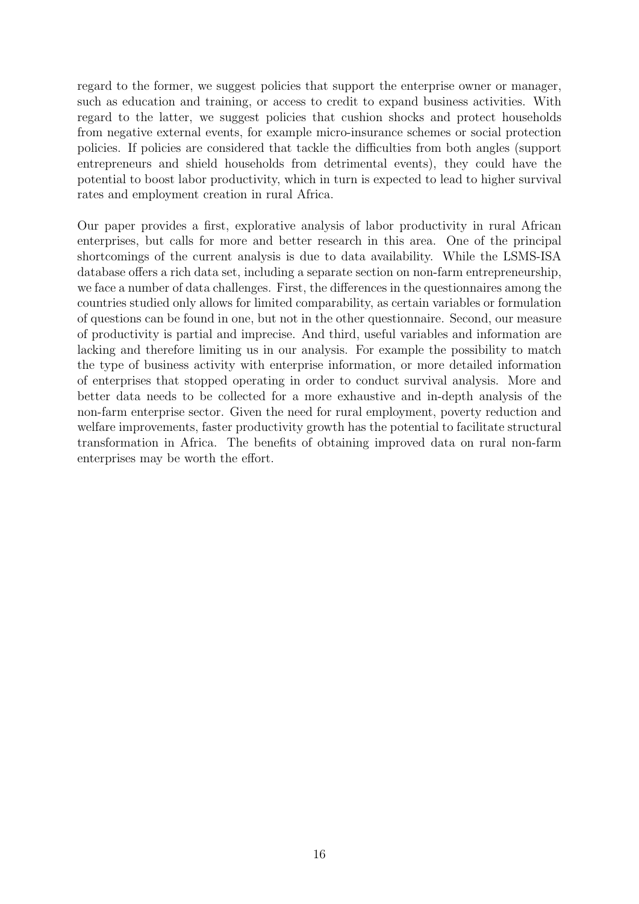regard to the former, we suggest policies that support the enterprise owner or manager, such as education and training, or access to credit to expand business activities. With regard to the latter, we suggest policies that cushion shocks and protect households from negative external events, for example micro-insurance schemes or social protection policies. If policies are considered that tackle the difficulties from both angles (support entrepreneurs and shield households from detrimental events), they could have the potential to boost labor productivity, which in turn is expected to lead to higher survival rates and employment creation in rural Africa.

Our paper provides a first, explorative analysis of labor productivity in rural African enterprises, but calls for more and better research in this area. One of the principal shortcomings of the current analysis is due to data availability. While the LSMS-ISA database offers a rich data set, including a separate section on non-farm entrepreneurship, we face a number of data challenges. First, the differences in the questionnaires among the countries studied only allows for limited comparability, as certain variables or formulation of questions can be found in one, but not in the other questionnaire. Second, our measure of productivity is partial and imprecise. And third, useful variables and information are lacking and therefore limiting us in our analysis. For example the possibility to match the type of business activity with enterprise information, or more detailed information of enterprises that stopped operating in order to conduct survival analysis. More and better data needs to be collected for a more exhaustive and in-depth analysis of the non-farm enterprise sector. Given the need for rural employment, poverty reduction and welfare improvements, faster productivity growth has the potential to facilitate structural transformation in Africa. The benefits of obtaining improved data on rural non-farm enterprises may be worth the effort.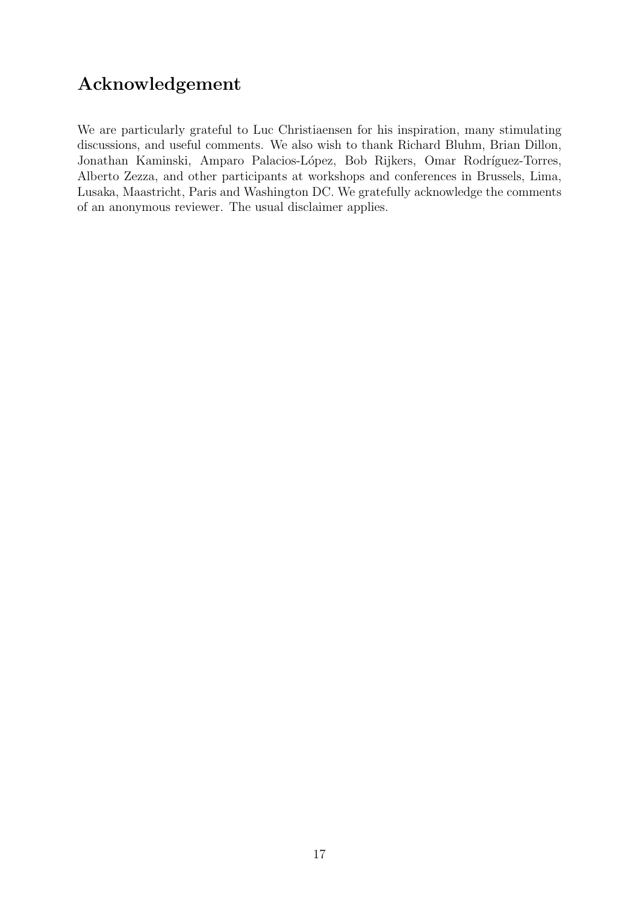## Acknowledgement

We are particularly grateful to Luc Christiaensen for his inspiration, many stimulating discussions, and useful comments. We also wish to thank Richard Bluhm, Brian Dillon, Jonathan Kaminski, Amparo Palacios-López, Bob Rijkers, Omar Rodríguez-Torres, Alberto Zezza, and other participants at workshops and conferences in Brussels, Lima, Lusaka, Maastricht, Paris and Washington DC. We gratefully acknowledge the comments of an anonymous reviewer. The usual disclaimer applies.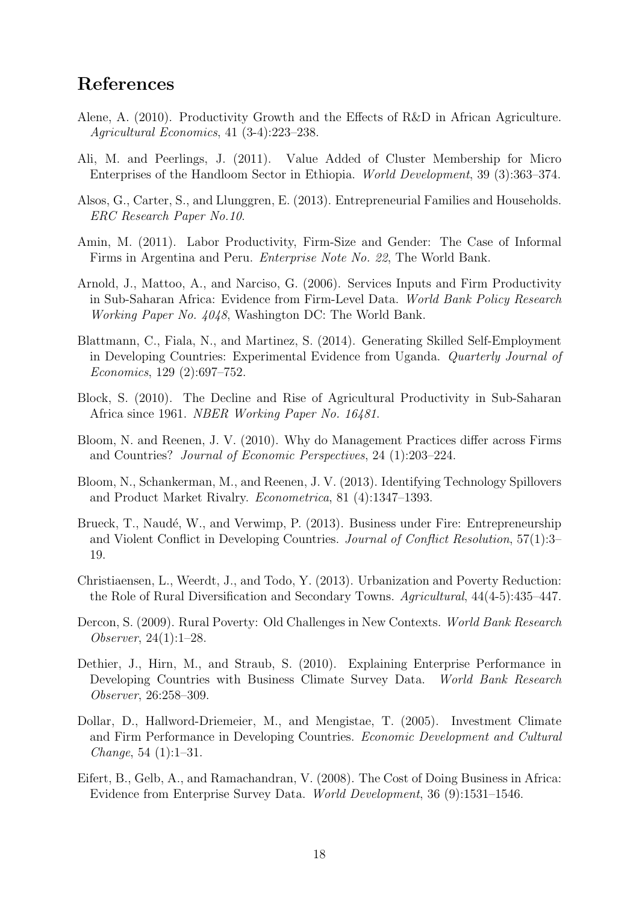### References

- <span id="page-20-0"></span>Alene, A. (2010). Productivity Growth and the Effects of R&D in African Agriculture. Agricultural Economics, 41 (3-4):223–238.
- <span id="page-20-5"></span>Ali, M. and Peerlings, J. (2011). Value Added of Cluster Membership for Micro Enterprises of the Handloom Sector in Ethiopia. World Development, 39 (3):363–374.
- <span id="page-20-6"></span>Alsos, G., Carter, S., and Llunggren, E. (2013). Entrepreneurial Families and Households. ERC Research Paper No.10.
- <span id="page-20-3"></span>Amin, M. (2011). Labor Productivity, Firm-Size and Gender: The Case of Informal Firms in Argentina and Peru. Enterprise Note No. 22, The World Bank.
- <span id="page-20-9"></span>Arnold, J., Mattoo, A., and Narciso, G. (2006). Services Inputs and Firm Productivity in Sub-Saharan Africa: Evidence from Firm-Level Data. World Bank Policy Research Working Paper No. 4048, Washington DC: The World Bank.
- <span id="page-20-13"></span>Blattmann, C., Fiala, N., and Martinez, S. (2014). Generating Skilled Self-Employment in Developing Countries: Experimental Evidence from Uganda. Quarterly Journal of Economics, 129 (2):697–752.
- <span id="page-20-1"></span>Block, S. (2010). The Decline and Rise of Agricultural Productivity in Sub-Saharan Africa since 1961. NBER Working Paper No. 16481.
- <span id="page-20-2"></span>Bloom, N. and Reenen, J. V. (2010). Why do Management Practices differ across Firms and Countries? Journal of Economic Perspectives, 24 (1):203–224.
- <span id="page-20-4"></span>Bloom, N., Schankerman, M., and Reenen, J. V. (2013). Identifying Technology Spillovers and Product Market Rivalry. Econometrica, 81 (4):1347–1393.
- <span id="page-20-14"></span>Brueck, T., Naudé, W., and Verwimp, P. (2013). Business under Fire: Entrepreneurship and Violent Conflict in Developing Countries. Journal of Conflict Resolution, 57(1):3– 19.
- <span id="page-20-12"></span>Christiaensen, L., Weerdt, J., and Todo, Y. (2013). Urbanization and Poverty Reduction: the Role of Rural Diversification and Secondary Towns. Agricultural, 44(4-5):435–447.
- <span id="page-20-7"></span>Dercon, S. (2009). Rural Poverty: Old Challenges in New Contexts. World Bank Research Observer, 24(1):1–28.
- <span id="page-20-11"></span>Dethier, J., Hirn, M., and Straub, S. (2010). Explaining Enterprise Performance in Developing Countries with Business Climate Survey Data. World Bank Research Observer, 26:258–309.
- <span id="page-20-8"></span>Dollar, D., Hallword-Driemeier, M., and Mengistae, T. (2005). Investment Climate and Firm Performance in Developing Countries. Economic Development and Cultural Change, 54  $(1):1-31$ .
- <span id="page-20-10"></span>Eifert, B., Gelb, A., and Ramachandran, V. (2008). The Cost of Doing Business in Africa: Evidence from Enterprise Survey Data. World Development, 36 (9):1531–1546.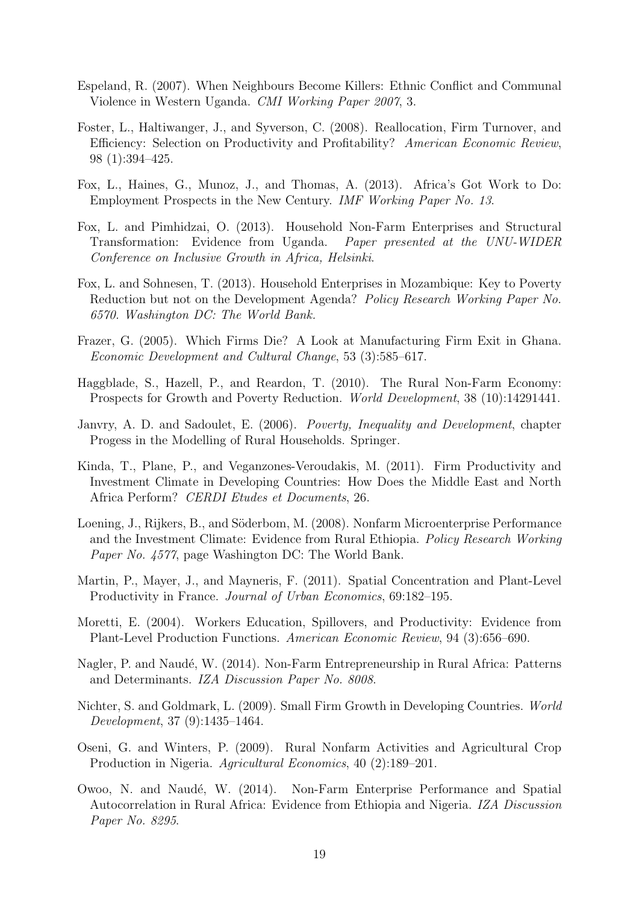- <span id="page-21-15"></span>Espeland, R. (2007). When Neighbours Become Killers: Ethnic Conflict and Communal Violence in Western Uganda. CMI Working Paper 2007, 3.
- <span id="page-21-11"></span>Foster, L., Haltiwanger, J., and Syverson, C. (2008). Reallocation, Firm Turnover, and Efficiency: Selection on Productivity and Profitability? American Economic Review, 98 (1):394–425.
- <span id="page-21-2"></span>Fox, L., Haines, G., Munoz, J., and Thomas, A. (2013). Africa's Got Work to Do: Employment Prospects in the New Century. IMF Working Paper No. 13.
- <span id="page-21-3"></span>Fox, L. and Pimhidzai, O. (2013). Household Non-Farm Enterprises and Structural Transformation: Evidence from Uganda. Paper presented at the UNU-WIDER Conference on Inclusive Growth in Africa, Helsinki.
- <span id="page-21-4"></span>Fox, L. and Sohnesen, T. (2013). Household Enterprises in Mozambique: Key to Poverty Reduction but not on the Development Agenda? Policy Research Working Paper No. 6570. Washington DC: The World Bank.
- <span id="page-21-14"></span>Frazer, G. (2005). Which Firms Die? A Look at Manufacturing Firm Exit in Ghana. Economic Development and Cultural Change, 53 (3):585–617.
- <span id="page-21-1"></span>Haggblade, S., Hazell, P., and Reardon, T. (2010). The Rural Non-Farm Economy: Prospects for Growth and Poverty Reduction. World Development, 38 (10):14291441.
- <span id="page-21-12"></span>Janvry, A. D. and Sadoulet, E. (2006). Poverty, Inequality and Development, chapter Progess in the Modelling of Rural Households. Springer.
- <span id="page-21-8"></span>Kinda, T., Plane, P., and Veganzones-Veroudakis, M. (2011). Firm Productivity and Investment Climate in Developing Countries: How Does the Middle East and North Africa Perform? CERDI Etudes et Documents, 26.
- <span id="page-21-13"></span>Loening, J., Rijkers, B., and Söderbom, M. (2008). Nonfarm Microenterprise Performance and the Investment Climate: Evidence from Rural Ethiopia. Policy Research Working Paper No. 4577, page Washington DC: The World Bank.
- <span id="page-21-9"></span>Martin, P., Mayer, J., and Mayneris, F. (2011). Spatial Concentration and Plant-Level Productivity in France. Journal of Urban Economics, 69:182–195.
- <span id="page-21-7"></span>Moretti, E. (2004). Workers Education, Spillovers, and Productivity: Evidence from Plant-Level Production Functions. American Economic Review, 94 (3):656–690.
- <span id="page-21-0"></span>Nagler, P. and Naudé, W. (2014). Non-Farm Entrepreneurship in Rural Africa: Patterns and Determinants. IZA Discussion Paper No. 8008.
- <span id="page-21-10"></span>Nichter, S. and Goldmark, L. (2009). Small Firm Growth in Developing Countries. World Development, 37 (9):1435–1464.
- <span id="page-21-5"></span>Oseni, G. and Winters, P. (2009). Rural Nonfarm Activities and Agricultural Crop Production in Nigeria. Agricultural Economics, 40 (2):189–201.
- <span id="page-21-6"></span>Owoo, N. and Naudé, W. (2014). Non-Farm Enterprise Performance and Spatial Autocorrelation in Rural Africa: Evidence from Ethiopia and Nigeria. IZA Discussion Paper No. 8295.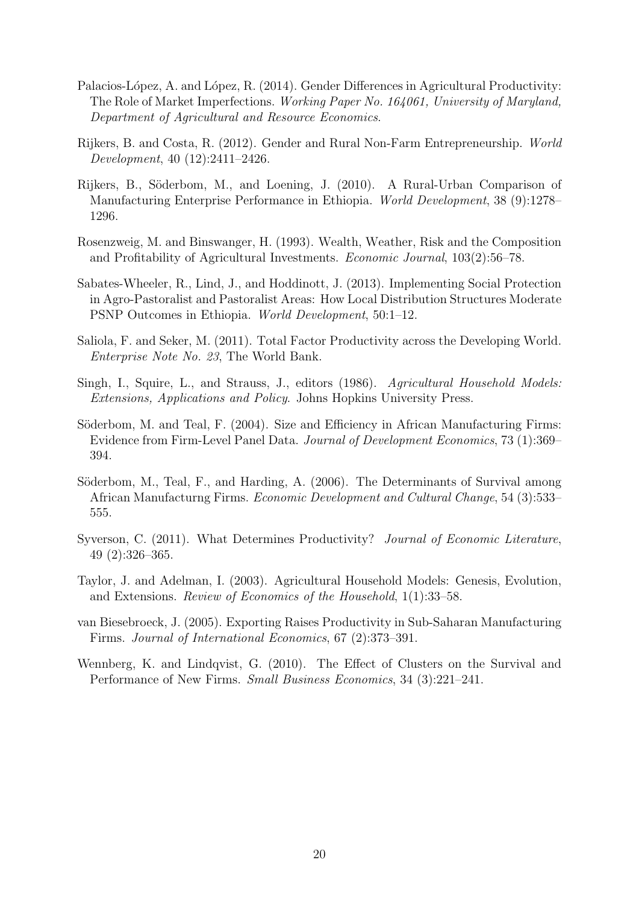- <span id="page-22-12"></span>Palacios-López, A. and López, R. (2014). Gender Differences in Agricultural Productivity: The Role of Market Imperfections. Working Paper No. 164061, University of Maryland, Department of Agricultural and Resource Economics.
- <span id="page-22-0"></span>Rijkers, B. and Costa, R. (2012). Gender and Rural Non-Farm Entrepreneurship. World Development, 40 (12):2411–2426.
- <span id="page-22-9"></span>Rijkers, B., Söderbom, M., and Loening, J. (2010). A Rural-Urban Comparison of Manufacturing Enterprise Performance in Ethiopia. World Development, 38 (9):1278– 1296.
- <span id="page-22-8"></span>Rosenzweig, M. and Binswanger, H. (1993). Wealth, Weather, Risk and the Composition and Profitability of Agricultural Investments. Economic Journal, 103(2):56–78.
- <span id="page-22-7"></span>Sabates-Wheeler, R., Lind, J., and Hoddinott, J. (2013). Implementing Social Protection in Agro-Pastoralist and Pastoralist Areas: How Local Distribution Structures Moderate PSNP Outcomes in Ethiopia. World Development, 50:1–12.
- <span id="page-22-4"></span>Saliola, F. and Seker, M. (2011). Total Factor Productivity across the Developing World. Enterprise Note No. 23, The World Bank.
- <span id="page-22-5"></span>Singh, I., Squire, L., and Strauss, J., editors (1986). Agricultural Household Models: Extensions, Applications and Policy. Johns Hopkins University Press.
- <span id="page-22-10"></span>Söderbom, M. and Teal, F. (2004). Size and Efficiency in African Manufacturing Firms: Evidence from Firm-Level Panel Data. Journal of Development Economics, 73 (1):369– 394.
- <span id="page-22-11"></span>Söderbom, M., Teal, F., and Harding, A. (2006). The Determinants of Survival among African Manufacturng Firms. Economic Development and Cultural Change, 54 (3):533– 555.
- <span id="page-22-2"></span>Syverson, C. (2011). What Determines Productivity? Journal of Economic Literature, 49 (2):326–365.
- <span id="page-22-6"></span>Taylor, J. and Adelman, I. (2003). Agricultural Household Models: Genesis, Evolution, and Extensions. Review of Economics of the Household, 1(1):33–58.
- <span id="page-22-3"></span>van Biesebroeck, J. (2005). Exporting Raises Productivity in Sub-Saharan Manufacturing Firms. Journal of International Economics, 67 (2):373–391.
- <span id="page-22-1"></span>Wennberg, K. and Lindqvist, G. (2010). The Effect of Clusters on the Survival and Performance of New Firms. Small Business Economics, 34 (3):221–241.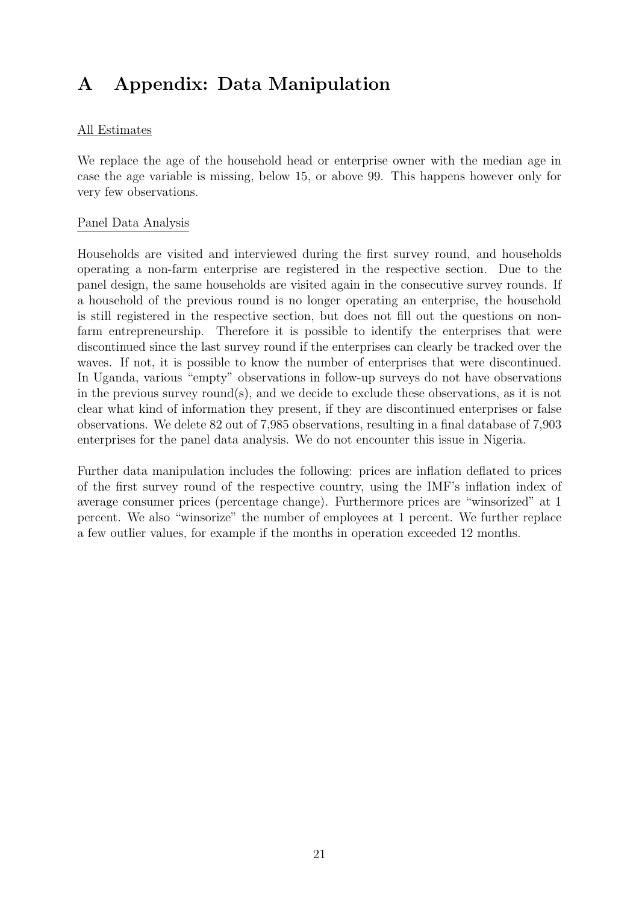## A Appendix: Data Manipulation

#### All Estimates

We replace the age of the household head or enterprise owner with the median age in case the age variable is missing, below 15, or above 99. This happens however only for very few observations.

#### Panel Data Analysis

Households are visited and interviewed during the first survey round, and households operating a non-farm enterprise are registered in the respective section. Due to the panel design, the same households are visited again in the consecutive survey rounds. If a household of the previous round is no longer operating an enterprise, the household is still registered in the respective section, but does not fill out the questions on nonfarm entrepreneurship. Therefore it is possible to identify the enterprises that were discontinued since the last survey round if the enterprises can clearly be tracked over the waves. If not, it is possible to know the number of enterprises that were discontinued. In Uganda, various "empty" observations in follow-up surveys do not have observations in the previous survey round(s), and we decide to exclude these observations, as it is not clear what kind of information they present, if they are discontinued enterprises or false observations. We delete 82 out of 7,985 observations, resulting in a final database of 7,903 enterprises for the panel data analysis. We do not encounter this issue in Nigeria.

Further data manipulation includes the following: prices are inflation deflated to prices of the first survey round of the respective country, using the IMF's inflation index of average consumer prices (percentage change). Furthermore prices are "winsorized" at 1 percent. We also "winsorize" the number of employees at 1 percent. We further replace a few outlier values, for example if the months in operation exceeded 12 months.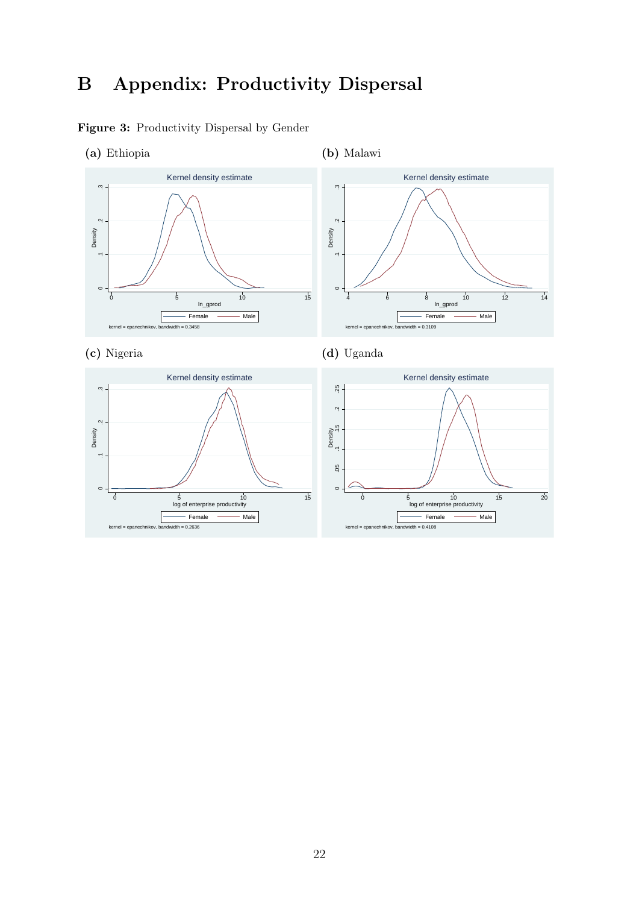## <span id="page-24-1"></span>B Appendix: Productivity Dispersal

<span id="page-24-0"></span>Figure 3: Productivity Dispersal by Gender



kernel = epanechnikov, bandwidth = 0.2636

kernel = epanechnikov, bandwidth = 0.4108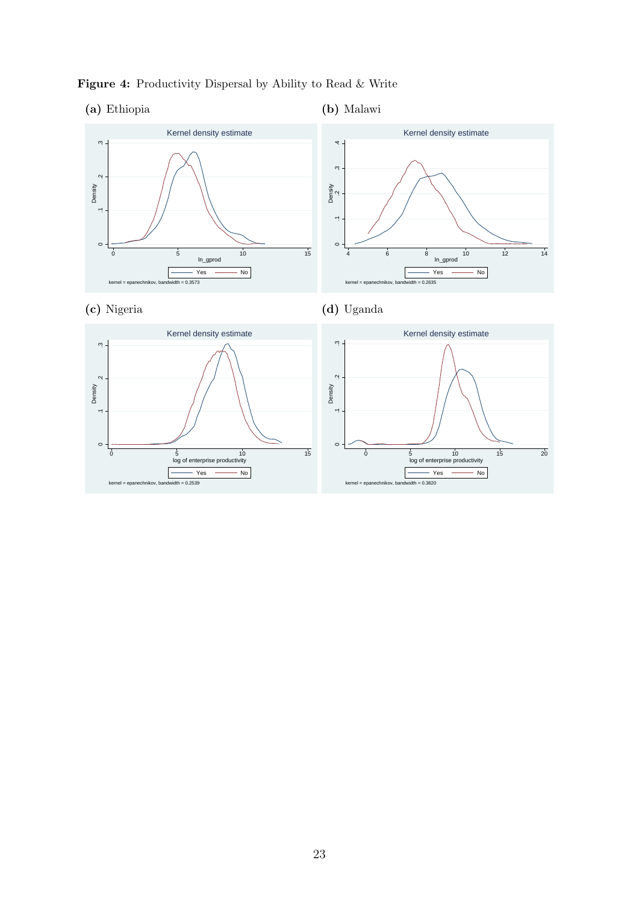

kernel = epanechnikov, bandwidth = 0.2539

kernel = epanechnikov, bandwidth = 0.3820

<span id="page-25-0"></span>Figure 4: Productivity Dispersal by Ability to Read & Write

#### (a) Ethiopia

#### (b) Malawi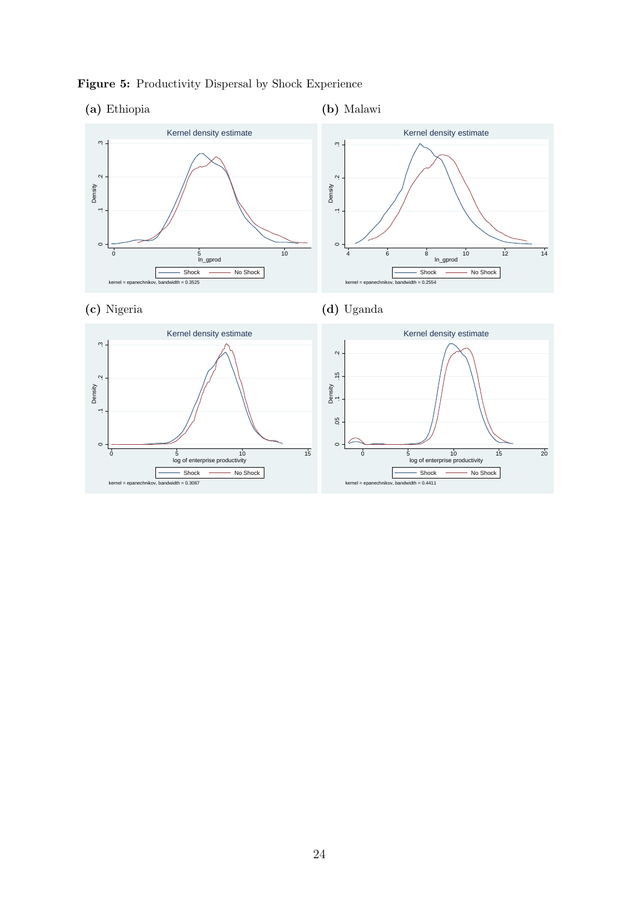

<span id="page-26-0"></span>Figure 5: Productivity Dispersal by Shock Experience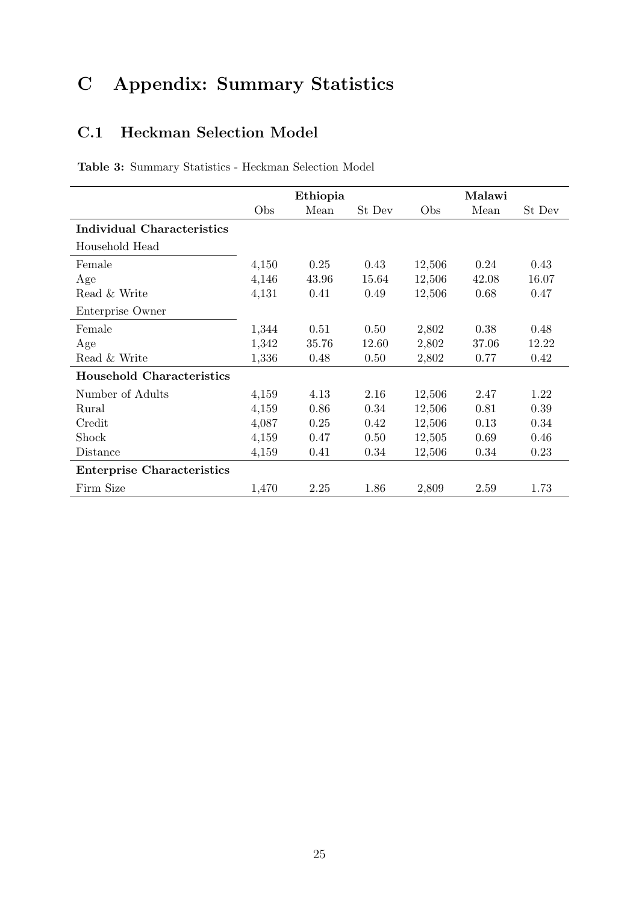# C Appendix: Summary Statistics

## <span id="page-27-0"></span>C.1 Heckman Selection Model

|  |  |  | Table 3: Summary Statistics - Heckman Selection Model |  |  |
|--|--|--|-------------------------------------------------------|--|--|
|--|--|--|-------------------------------------------------------|--|--|

|                                   | Ethiopia |       |        |        | Malawi |        |
|-----------------------------------|----------|-------|--------|--------|--------|--------|
|                                   | Obs      | Mean  | St Dev | Obs    | Mean   | St Dev |
| <b>Individual Characteristics</b> |          |       |        |        |        |        |
| Household Head                    |          |       |        |        |        |        |
| Female                            | 4,150    | 0.25  | 0.43   | 12,506 | 0.24   | 0.43   |
| Age                               | 4,146    | 43.96 | 15.64  | 12,506 | 42.08  | 16.07  |
| Read & Write                      | 4,131    | 0.41  | 0.49   | 12,506 | 0.68   | 0.47   |
| Enterprise Owner                  |          |       |        |        |        |        |
| Female                            | 1,344    | 0.51  | 0.50   | 2,802  | 0.38   | 0.48   |
| Age                               | 1,342    | 35.76 | 12.60  | 2,802  | 37.06  | 12.22  |
| Read & Write                      | 1,336    | 0.48  | 0.50   | 2,802  | 0.77   | 0.42   |
| <b>Household Characteristics</b>  |          |       |        |        |        |        |
| Number of Adults                  | 4,159    | 4.13  | 2.16   | 12,506 | 2.47   | 1.22   |
| Rural                             | 4,159    | 0.86  | 0.34   | 12,506 | 0.81   | 0.39   |
| Credit                            | 4,087    | 0.25  | 0.42   | 12,506 | 0.13   | 0.34   |
| Shock                             | 4,159    | 0.47  | 0.50   | 12,505 | 0.69   | 0.46   |
| Distance                          | 4,159    | 0.41  | 0.34   | 12,506 | 0.34   | 0.23   |
| <b>Enterprise Characteristics</b> |          |       |        |        |        |        |
| Firm Size                         | 1,470    | 2.25  | 1.86   | 2,809  | 2.59   | 1.73   |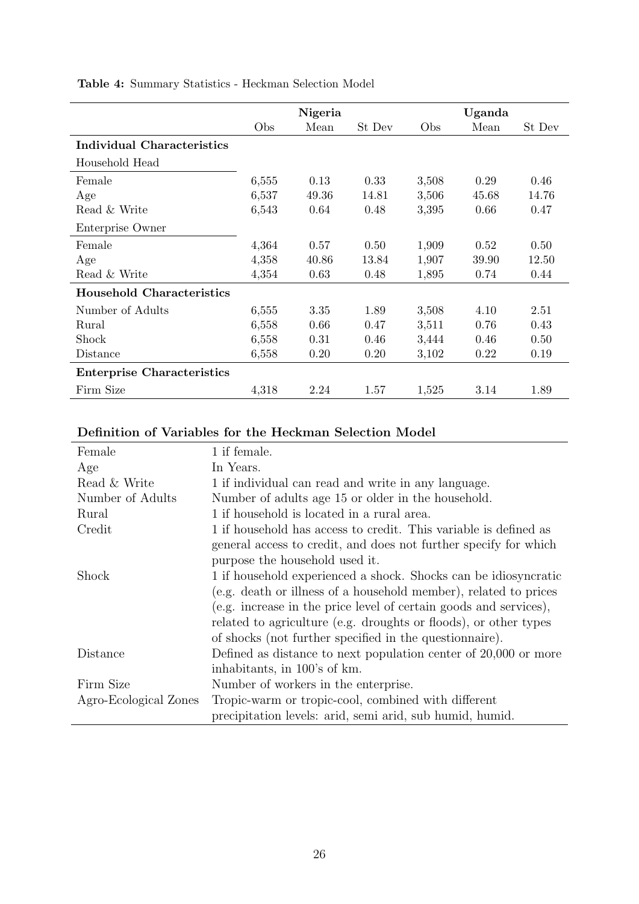|                                   | Nigeria |       |        | Uganda |       |        |  |
|-----------------------------------|---------|-------|--------|--------|-------|--------|--|
|                                   | Obs     | Mean  | St Dev | Obs    | Mean  | St Dev |  |
| <b>Individual Characteristics</b> |         |       |        |        |       |        |  |
| Household Head                    |         |       |        |        |       |        |  |
| Female                            | 6,555   | 0.13  | 0.33   | 3,508  | 0.29  | 0.46   |  |
| Age                               | 6,537   | 49.36 | 14.81  | 3,506  | 45.68 | 14.76  |  |
| Read & Write                      | 6,543   | 0.64  | 0.48   | 3,395  | 0.66  | 0.47   |  |
| Enterprise Owner                  |         |       |        |        |       |        |  |
| Female                            | 4,364   | 0.57  | 0.50   | 1,909  | 0.52  | 0.50   |  |
| Age                               | 4,358   | 40.86 | 13.84  | 1,907  | 39.90 | 12.50  |  |
| Read & Write                      | 4,354   | 0.63  | 0.48   | 1,895  | 0.74  | 0.44   |  |
| <b>Household Characteristics</b>  |         |       |        |        |       |        |  |
| Number of Adults                  | 6,555   | 3.35  | 1.89   | 3,508  | 4.10  | 2.51   |  |
| Rural                             | 6,558   | 0.66  | 0.47   | 3,511  | 0.76  | 0.43   |  |
| Shock                             | 6,558   | 0.31  | 0.46   | 3,444  | 0.46  | 0.50   |  |
| Distance                          | 6,558   | 0.20  | 0.20   | 3,102  | 0.22  | 0.19   |  |
| <b>Enterprise Characteristics</b> |         |       |        |        |       |        |  |
| Firm Size                         | 4,318   | 2.24  | 1.57   | 1,525  | 3.14  | 1.89   |  |
|                                   |         |       |        |        |       |        |  |

Table 4: Summary Statistics - Heckman Selection Model

## Definition of Variables for the Heckman Selection Model

| Female                | 1 if female.                                                      |
|-----------------------|-------------------------------------------------------------------|
| Age                   | In Years.                                                         |
| Read & Write          | 1 if individual can read and write in any language.               |
| Number of Adults      | Number of adults age 15 or older in the household.                |
| Rural                 | 1 if household is located in a rural area.                        |
| Credit                | 1 if household has access to credit. This variable is defined as  |
|                       | general access to credit, and does not further specify for which  |
|                       | purpose the household used it.                                    |
| Shock                 | 1 if household experienced a shock. Shocks can be idiosyncratic   |
|                       | (e.g. death or illness of a household member), related to prices  |
|                       | (e.g. increase in the price level of certain goods and services), |
|                       | related to agriculture (e.g. droughts or floods), or other types  |
|                       | of shocks (not further specified in the questionnaire).           |
| Distance              | Defined as distance to next population center of $20,000$ or more |
|                       | inhabitants, in 100's of km.                                      |
| Firm Size             | Number of workers in the enterprise.                              |
| Agro-Ecological Zones | Tropic-warm or tropic-cool, combined with different               |
|                       | precipitation levels: arid, semi arid, sub humid, humid.          |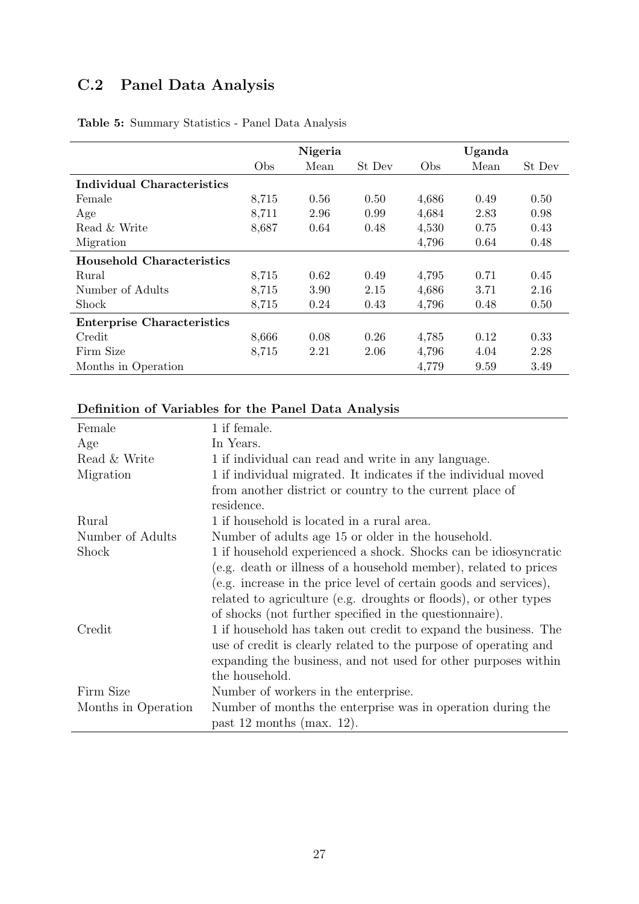## <span id="page-29-0"></span>C.2 Panel Data Analysis

|                                   | Nigeria |      |        | Uganda |      |        |
|-----------------------------------|---------|------|--------|--------|------|--------|
|                                   | Obs     | Mean | St Dev | Obs    | Mean | St Dev |
| Individual Characteristics        |         |      |        |        |      |        |
| Female                            | 8,715   | 0.56 | 0.50   | 4,686  | 0.49 | 0.50   |
| Age                               | 8,711   | 2.96 | 0.99   | 4,684  | 2.83 | 0.98   |
| Read & Write                      | 8,687   | 0.64 | 0.48   | 4,530  | 0.75 | 0.43   |
| Migration                         |         |      |        | 4,796  | 0.64 | 0.48   |
| <b>Household Characteristics</b>  |         |      |        |        |      |        |
| Rural                             | 8,715   | 0.62 | 0.49   | 4,795  | 0.71 | 0.45   |
| Number of Adults                  | 8,715   | 3.90 | 2.15   | 4,686  | 3.71 | 2.16   |
| Shock                             | 8,715   | 0.24 | 0.43   | 4,796  | 0.48 | 0.50   |
| <b>Enterprise Characteristics</b> |         |      |        |        |      |        |
| Credit                            | 8,666   | 0.08 | 0.26   | 4,785  | 0.12 | 0.33   |
| Firm Size                         | 8,715   | 2.21 | 2.06   | 4,796  | 4.04 | 2.28   |
| Months in Operation               |         |      |        | 4,779  | 9.59 | 3.49   |

Table 5: Summary Statistics - Panel Data Analysis

### Definition of Variables for the Panel Data Analysis

| Female              | 1 if female.                                                      |
|---------------------|-------------------------------------------------------------------|
| Age                 | In Years.                                                         |
| Read & Write        | 1 if individual can read and write in any language.               |
| Migration           | 1 if individual migrated. It indicates if the individual moved    |
|                     | from another district or country to the current place of          |
|                     | residence.                                                        |
| Rural               | 1 if household is located in a rural area.                        |
| Number of Adults    | Number of adults age 15 or older in the household.                |
| Shock               | 1 if household experienced a shock. Shocks can be idiosyncratic   |
|                     | (e.g. death or illness of a household member), related to prices  |
|                     | (e.g. increase in the price level of certain goods and services), |
|                     | related to agriculture (e.g. droughts or floods), or other types  |
|                     | of shocks (not further specified in the questionnaire).           |
| Credit              | 1 if household has taken out credit to expand the business. The   |
|                     | use of credit is clearly related to the purpose of operating and  |
|                     | expanding the business, and not used for other purposes within    |
|                     | the household.                                                    |
| Firm Size           | Number of workers in the enterprise.                              |
| Months in Operation | Number of months the enterprise was in operation during the       |
|                     | past 12 months (max. 12).                                         |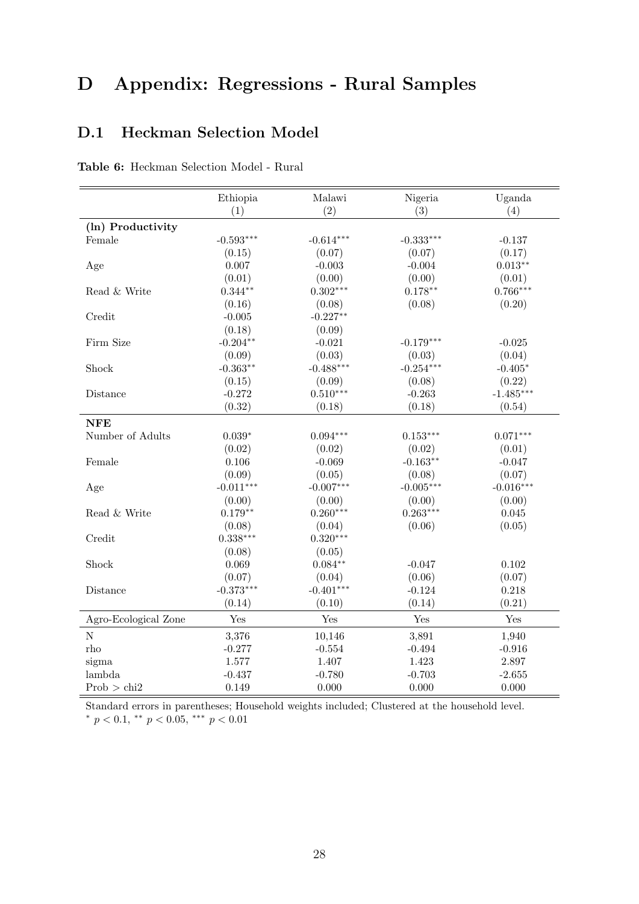## D Appendix: Regressions - Rural Samples

### <span id="page-30-1"></span>D.1 Heckman Selection Model

<span id="page-30-0"></span>

| Table 6: Heckman Selection Model - Rural |  |
|------------------------------------------|--|
|------------------------------------------|--|

|                      | Ethiopia    | Malawi      | Nigeria     | Uganda      |
|----------------------|-------------|-------------|-------------|-------------|
|                      | (1)         | (2)         | (3)         | (4)         |
| (ln) Productivity    |             |             |             |             |
| Female               | $-0.593***$ | $-0.614***$ | $-0.333***$ | $-0.137$    |
|                      | (0.15)      | (0.07)      | (0.07)      | (0.17)      |
| Age                  | 0.007       | $-0.003$    | $-0.004$    | $0.013**$   |
|                      | (0.01)      | (0.00)      | (0.00)      | (0.01)      |
| Read & Write         | $0.344**$   | $0.302***$  | $0.178**$   | $0.766***$  |
|                      | (0.16)      | (0.08)      | (0.08)      | (0.20)      |
| Credit               | $-0.005$    | $-0.227**$  |             |             |
|                      | (0.18)      | (0.09)      |             |             |
| Firm Size            | $-0.204**$  | $-0.021$    | $-0.179***$ | $-0.025$    |
|                      | (0.09)      | (0.03)      | (0.03)      | (0.04)      |
| Shock                | $-0.363**$  | $-0.488***$ | $-0.254***$ | $-0.405*$   |
|                      | (0.15)      | (0.09)      | (0.08)      | (0.22)      |
| Distance             | $-0.272$    | $0.510***$  | $-0.263$    | $-1.485***$ |
|                      | (0.32)      | (0.18)      | (0.18)      | (0.54)      |
| <b>NFE</b>           |             |             |             |             |
| Number of Adults     | $0.039*$    | $0.094***$  | $0.153***$  | $0.071***$  |
|                      | (0.02)      | (0.02)      | (0.02)      | (0.01)      |
| Female               | 0.106       | $-0.069$    | $-0.163**$  | $-0.047$    |
|                      | (0.09)      | (0.05)      | (0.08)      | (0.07)      |
| Age                  | $-0.011***$ | $-0.007***$ | $-0.005***$ | $-0.016***$ |
|                      | (0.00)      | (0.00)      | (0.00)      | (0.00)      |
| Read & Write         | $0.179**$   | $0.260***$  | $0.263***$  | 0.045       |
|                      | (0.08)      | (0.04)      | (0.06)      | (0.05)      |
| Credit               | $0.338***$  | $0.320***$  |             |             |
|                      | (0.08)      | (0.05)      |             |             |
| Shock                | 0.069       | $0.084**$   | $-0.047$    | 0.102       |
|                      | (0.07)      | (0.04)      | (0.06)      | (0.07)      |
| Distance             | $-0.373***$ | $-0.401***$ | $-0.124$    | 0.218       |
|                      | (0.14)      | (0.10)      | (0.14)      | (0.21)      |
| Agro-Ecological Zone | Yes         | Yes         | Yes         | Yes         |
| ${\rm N}$            | 3,376       | 10,146      | 3,891       | 1,940       |
| rho                  | $-0.277$    | $-0.554$    | $-0.494$    | $-0.916$    |
| sigma                | 1.577       | 1.407       | 1.423       | 2.897       |
| lambda               | $-0.437$    | $-0.780$    | $-0.703$    | $-2.655$    |
| Prob > chi2          | 0.149       | 0.000       | 0.000       | 0.000       |

Standard errors in parentheses; Household weights included; Clustered at the household level. \*  $p < 0.1$ , \*\*  $p < 0.05$ , \*\*\*  $p < 0.01$